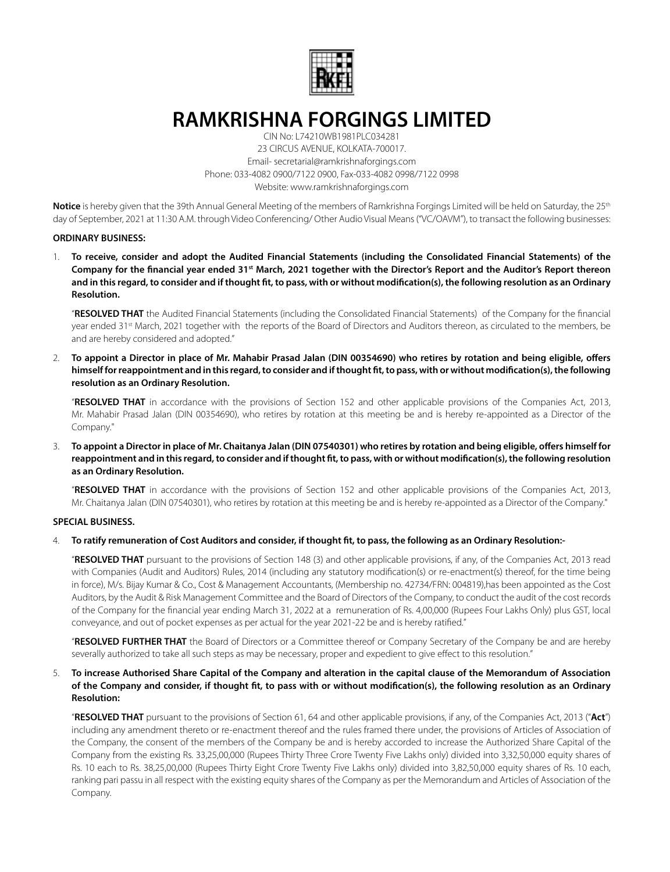

# **RAMKRISHNA FORGINGS LIMITED**

CIN No: L74210WB1981PLC034281 23 CIRCUS AVENUE, KOLKATA-700017. Email- secretarial@ramkrishnaforgings.com Phone: 033-4082 0900/7122 0900, Fax-033-4082 0998/7122 0998 Website: www.ramkrishnaforgings.com

**Notice** is hereby given that the 39th Annual General Meeting of the members of Ramkrishna Forgings Limited will be held on Saturday, the 25th day of September, 2021 at 11:30 A.M. through Video Conferencing/ Other Audio Visual Means ("VC/OAVM"), to transact the following businesses:

## **ORDINARY BUSINESS:**

1. **To receive, consider and adopt the Audited Financial Statements (including the Consolidated Financial Statements) of the Company for the fnancial year ended 31st March, 2021 together with the Director's Report and the Auditor's Report thereon and in this regard, to consider and if thought ft, to pass, with or without modifcation(s), the following resolution as an Ordinary Resolution.**

"**RESOLVED THAT** the Audited Financial Statements (including the Consolidated Financial Statements) of the Company for the financial year ended 31<sup>st</sup> March, 2021 together with the reports of the Board of Directors and Auditors thereon, as circulated to the members, be and are hereby considered and adopted."

2. **To appoint a Director in place of Mr. Mahabir Prasad Jalan (DIN 00354690) who retires by rotation and being eligible, ofers himself for reappointment and in this regard, to consider and if thought ft, to pass, with or without modifcation(s), the following resolution as an Ordinary Resolution.**

"**RESOLVED THAT** in accordance with the provisions of Section 152 and other applicable provisions of the Companies Act, 2013, Mr. Mahabir Prasad Jalan (DIN 00354690), who retires by rotation at this meeting be and is hereby re-appointed as a Director of the Company."

3. **To appoint a Director in place of Mr. Chaitanya Jalan (DIN 07540301) who retires by rotation and being eligible, ofers himself for reappointment and in this regard, to consider and if thought ft, to pass, with or without modifcation(s), the following resolution as an Ordinary Resolution.**

"**RESOLVED THAT** in accordance with the provisions of Section 152 and other applicable provisions of the Companies Act, 2013, Mr. Chaitanya Jalan (DIN 07540301), who retires by rotation at this meeting be and is hereby re-appointed as a Director of the Company."

# **SPECIAL BUSINESS.**

## 4. **To ratify remuneration of Cost Auditors and consider, if thought ft, to pass, the following as an Ordinary Resolution:-**

"**RESOLVED THAT** pursuant to the provisions of Section 148 (3) and other applicable provisions, if any, of the Companies Act, 2013 read with Companies (Audit and Auditors) Rules, 2014 (including any statutory modification(s) or re-enactment(s) thereof, for the time being in force), M/s. Bijay Kumar & Co., Cost & Management Accountants, (Membership no. 42734/FRN: 004819),has been appointed as the Cost Auditors, by the Audit & Risk Management Committee and the Board of Directors of the Company, to conduct the audit of the cost records of the Company for the financial year ending March 31, 2022 at a remuneration of Rs. 4,00,000 (Rupees Four Lakhs Only) plus GST, local conveyance, and out of pocket expenses as per actual for the year 2021-22 be and is hereby ratified."

"**RESOLVED FURTHER THAT** the Board of Directors or a Committee thereof or Company Secretary of the Company be and are hereby severally authorized to take all such steps as may be necessary, proper and expedient to give effect to this resolution."

# 5. **To increase Authorised Share Capital of the Company and alteration in the capital clause of the Memorandum of Association of the Company and consider, if thought ft, to pass with or without modifcation(s), the following resolution as an Ordinary Resolution:**

"**RESOLVED THAT** pursuant to the provisions of Section 61, 64 and other applicable provisions, if any, of the Companies Act, 2013 ("**Act**") including any amendment thereto or re-enactment thereof and the rules framed there under, the provisions of Articles of Association of the Company, the consent of the members of the Company be and is hereby accorded to increase the Authorized Share Capital of the Company from the existing Rs. 33,25,00,000 (Rupees Thirty Three Crore Twenty Five Lakhs only) divided into 3,32,50,000 equity shares of Rs. 10 each to Rs. 38,25,00,000 (Rupees Thirty Eight Crore Twenty Five Lakhs only) divided into 3,82,50,000 equity shares of Rs. 10 each, ranking pari passu in all respect with the existing equity shares of the Company as per the Memorandum and Articles of Association of the Company.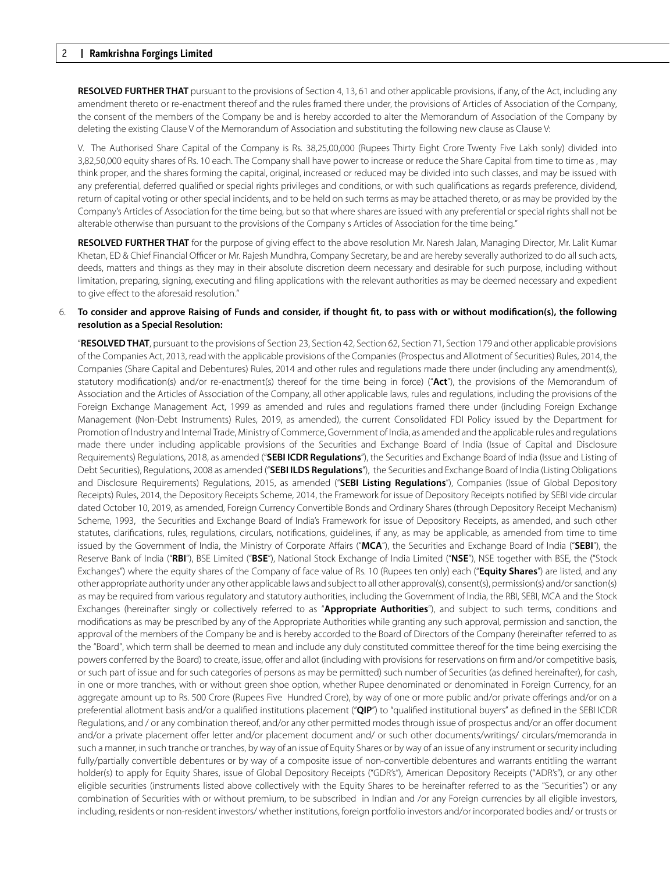**RESOLVED FURTHER THAT** pursuant to the provisions of Section 4, 13, 61 and other applicable provisions, if any, of the Act, including any amendment thereto or re-enactment thereof and the rules framed there under, the provisions of Articles of Association of the Company, the consent of the members of the Company be and is hereby accorded to alter the Memorandum of Association of the Company by deleting the existing Clause V of the Memorandum of Association and substituting the following new clause as Clause V:

V. The Authorised Share Capital of the Company is Rs. 38,25,00,000 (Rupees Thirty Eight Crore Twenty Five Lakh sonly) divided into 3,82,50,000 equity shares of Rs. 10 each. The Company shall have power to increase or reduce the Share Capital from time to time as , may think proper, and the shares forming the capital, original, increased or reduced may be divided into such classes, and may be issued with any preferential, deferred qualified or special rights privileges and conditions, or with such qualifications as regards preference, dividend, return of capital voting or other special incidents, and to be held on such terms as may be attached thereto, or as may be provided by the Company's Articles of Association for the time being, but so that where shares are issued with any preferential or special rights shall not be alterable otherwise than pursuant to the provisions of the Company s Articles of Association for the time being."

**RESOLVED FURTHER THAT** for the purpose of giving effect to the above resolution Mr. Naresh Jalan, Managing Director, Mr. Lalit Kumar Khetan, ED & Chief Financial Officer or Mr. Rajesh Mundhra, Company Secretary, be and are hereby severally authorized to do all such acts, deeds, matters and things as they may in their absolute discretion deem necessary and desirable for such purpose, including without limitation, preparing, signing, executing and filing applications with the relevant authorities as may be deemed necessary and expedient to give effect to the aforesaid resolution."

## 6. **To consider and approve Raising of Funds and consider, if thought ft, to pass with or without modifcation(s), the following resolution as a Special Resolution:**

"**RESOLVED THAT**, pursuant to the provisions of Section 23, Section 42, Section 62, Section 71, Section 179 and other applicable provisions of the Companies Act, 2013, read with the applicable provisions of the Companies (Prospectus and Allotment of Securities) Rules, 2014, the Companies (Share Capital and Debentures) Rules, 2014 and other rules and regulations made there under (including any amendment(s), statutory modification(s) and/or re-enactment(s) thereof for the time being in force) ("**Act**"), the provisions of the Memorandum of Association and the Articles of Association of the Company, all other applicable laws, rules and regulations, including the provisions of the Foreign Exchange Management Act, 1999 as amended and rules and regulations framed there under (including Foreign Exchange Management (Non-Debt Instruments) Rules, 2019, as amended), the current Consolidated FDI Policy issued by the Department for Promotion of Industry and Internal Trade, Ministry of Commerce, Government of India, as amended and the applicable rules and regulations made there under including applicable provisions of the Securities and Exchange Board of India (Issue of Capital and Disclosure Requirements) Regulations, 2018, as amended ("**SEBI ICDR Regulations**"), the Securities and Exchange Board of India (Issue and Listing of Debt Securities), Regulations, 2008 as amended ("**SEBI ILDS Regulations**"), the Securities and Exchange Board of India (Listing Obligations and Disclosure Requirements) Regulations, 2015, as amended ("**SEBI Listing Regulations**"), Companies (Issue of Global Depository Receipts) Rules, 2014, the Depository Receipts Scheme, 2014, the Framework for issue of Depository Receipts notified by SEBI vide circular dated October 10, 2019, as amended, Foreign Currency Convertible Bonds and Ordinary Shares (through Depository Receipt Mechanism) Scheme, 1993, the Securities and Exchange Board of India's Framework for issue of Depository Receipts, as amended, and such other statutes, clarifications, rules, regulations, circulars, notifications, guidelines, if any, as may be applicable, as amended from time to time issued by the Government of India, the Ministry of Corporate Affairs ("**MCA**"), the Securities and Exchange Board of India ("**SEBI**"), the Reserve Bank of India ("**RBI**"), BSE Limited ("**BSE**"), National Stock Exchange of India Limited ("**NSE**"), NSE together with BSE, the ("Stock Exchanges") where the equity shares of the Company of face value of Rs. 10 (Rupees ten only) each ("**Equity Shares**") are listed, and any other appropriate authority under any other applicable laws and subject to all other approval(s), consent(s), permission(s) and/or sanction(s) as may be required from various regulatory and statutory authorities, including the Government of India, the RBI, SEBI, MCA and the Stock Exchanges (hereinafter singly or collectively referred to as "**Appropriate Authorities**"), and subject to such terms, conditions and modifications as may be prescribed by any of the Appropriate Authorities while granting any such approval, permission and sanction, the approval of the members of the Company be and is hereby accorded to the Board of Directors of the Company (hereinafter referred to as the "Board", which term shall be deemed to mean and include any duly constituted committee thereof for the time being exercising the powers conferred by the Board) to create, issue, offer and allot (including with provisions for reservations on firm and/or competitive basis, or such part of issue and for such categories of persons as may be permitted) such number of Securities (as defined hereinafter), for cash, in one or more tranches, with or without green shoe option, whether Rupee denominated or denominated in Foreign Currency, for an aggregate amount up to Rs. 500 Crore (Rupees Five Hundred Crore), by way of one or more public and/or private offerings and/or on a preferential allotment basis and/or a qualified institutions placement ("**QIP**") to "qualified institutional buyers" as defined in the SEBI ICDR Regulations, and / or any combination thereof, and/or any other permitted modes through issue of prospectus and/or an offer document and/or a private placement offer letter and/or placement document and/ or such other documents/writings/ circulars/memoranda in such a manner, in such tranche or tranches, by way of an issue of Equity Shares or by way of an issue of any instrument or security including fully/partially convertible debentures or by way of a composite issue of non-convertible debentures and warrants entitling the warrant holder(s) to apply for Equity Shares, issue of Global Depository Receipts ("GDR's"), American Depository Receipts ("ADR's"), or any other eligible securities (instruments listed above collectively with the Equity Shares to be hereinafter referred to as the "Securities") or any combination of Securities with or without premium, to be subscribed in Indian and /or any Foreign currencies by all eligible investors, including, residents or non-resident investors/ whether institutions, foreign portfolio investors and/or incorporated bodies and/ or trusts or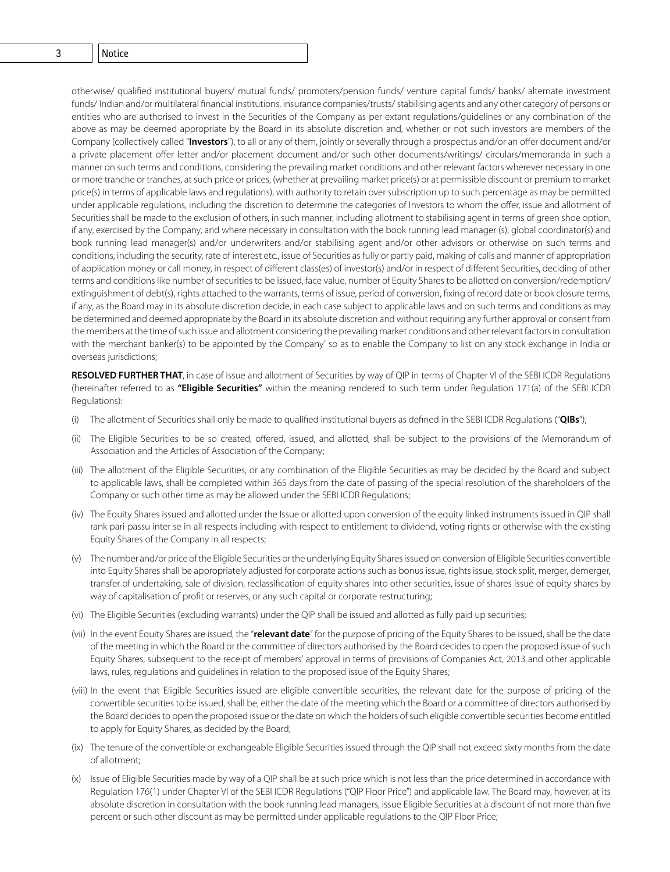# 2 **Ramkrishna Forgings Limited** 3 Notice

otherwise/ qualified institutional buyers/ mutual funds/ promoters/pension funds/ venture capital funds/ banks/ alternate investment funds/ Indian and/or multilateral financial institutions, insurance companies/trusts/ stabilising agents and any other category of persons or entities who are authorised to invest in the Securities of the Company as per extant regulations/guidelines or any combination of the above as may be deemed appropriate by the Board in its absolute discretion and, whether or not such investors are members of the Company (collectively called "**Investors**"), to all or any of them, jointly or severally through a prospectus and/or an offer document and/or a private placement offer letter and/or placement document and/or such other documents/writings/ circulars/memoranda in such a manner on such terms and conditions, considering the prevailing market conditions and other relevant factors wherever necessary in one or more tranche or tranches, at such price or prices, (whether at prevailing market price(s) or at permissible discount or premium to market price(s) in terms of applicable laws and regulations), with authority to retain over subscription up to such percentage as may be permitted under applicable regulations, including the discretion to determine the categories of Investors to whom the offer, issue and allotment of Securities shall be made to the exclusion of others, in such manner, including allotment to stabilising agent in terms of green shoe option, if any, exercised by the Company, and where necessary in consultation with the book running lead manager (s), global coordinator(s) and book running lead manager(s) and/or underwriters and/or stabilising agent and/or other advisors or otherwise on such terms and conditions, including the security, rate of interest etc., issue of Securities as fully or partly paid, making of calls and manner of appropriation of application money or call money, in respect of different class(es) of investor(s) and/or in respect of different Securities, deciding of other terms and conditions like number of securities to be issued, face value, number of Equity Shares to be allotted on conversion/redemption/ extinguishment of debt(s), rights attached to the warrants, terms of issue, period of conversion, fixing of record date or book closure terms, if any, as the Board may in its absolute discretion decide, in each case subject to applicable laws and on such terms and conditions as may be determined and deemed appropriate by the Board in its absolute discretion and without requiring any further approval or consent from the members at the time of such issue and allotment considering the prevailing market conditions and other relevant factors in consultation with the merchant banker(s) to be appointed by the Company' so as to enable the Company to list on any stock exchange in India or overseas jurisdictions;

**RESOLVED FURTHER THAT**, in case of issue and allotment of Securities by way of QIP in terms of Chapter VI of the SEBI ICDR Regulations (hereinafter referred to as **"Eligible Securities"** within the meaning rendered to such term under Regulation 171(a) of the SEBI ICDR Regulations):

- (i) The allotment of Securities shall only be made to qualified institutional buyers as defined in the SEBI ICDR Regulations ("**QIBs**");
- (ii) The Eligible Securities to be so created, offered, issued, and allotted, shall be subject to the provisions of the Memorandum of Association and the Articles of Association of the Company;
- (iii) The allotment of the Eligible Securities, or any combination of the Eligible Securities as may be decided by the Board and subject to applicable laws, shall be completed within 365 days from the date of passing of the special resolution of the shareholders of the Company or such other time as may be allowed under the SEBI ICDR Regulations;
- (iv) The Equity Shares issued and allotted under the Issue or allotted upon conversion of the equity linked instruments issued in QIP shall rank pari-passu inter se in all respects including with respect to entitlement to dividend, voting rights or otherwise with the existing Equity Shares of the Company in all respects;
- (v) The number and/or price of the Eligible Securities or the underlying Equity Shares issued on conversion of Eligible Securities convertible into Equity Shares shall be appropriately adjusted for corporate actions such as bonus issue, rights issue, stock split, merger, demerger, transfer of undertaking, sale of division, reclassification of equity shares into other securities, issue of shares issue of equity shares by way of capitalisation of profit or reserves, or any such capital or corporate restructuring;
- (vi) The Eligible Securities (excluding warrants) under the QIP shall be issued and allotted as fully paid up securities;
- (vii) In the event Equity Shares are issued, the "**relevant date**" for the purpose of pricing of the Equity Shares to be issued, shall be the date of the meeting in which the Board or the committee of directors authorised by the Board decides to open the proposed issue of such Equity Shares, subsequent to the receipt of members' approval in terms of provisions of Companies Act, 2013 and other applicable laws, rules, regulations and guidelines in relation to the proposed issue of the Equity Shares;
- (viii) In the event that Eligible Securities issued are eligible convertible securities, the relevant date for the purpose of pricing of the convertible securities to be issued, shall be, either the date of the meeting which the Board or a committee of directors authorised by the Board decides to open the proposed issue or the date on which the holders of such eligible convertible securities become entitled to apply for Equity Shares, as decided by the Board;
- (ix) The tenure of the convertible or exchangeable Eligible Securities issued through the QIP shall not exceed sixty months from the date of allotment;
- (x) Issue of Eligible Securities made by way of a QIP shall be at such price which is not less than the price determined in accordance with Regulation 176(1) under Chapter VI of the SEBI ICDR Regulations ("QIP Floor Price") and applicable law. The Board may, however, at its absolute discretion in consultation with the book running lead managers, issue Eligible Securities at a discount of not more than five percent or such other discount as may be permitted under applicable regulations to the QIP Floor Price;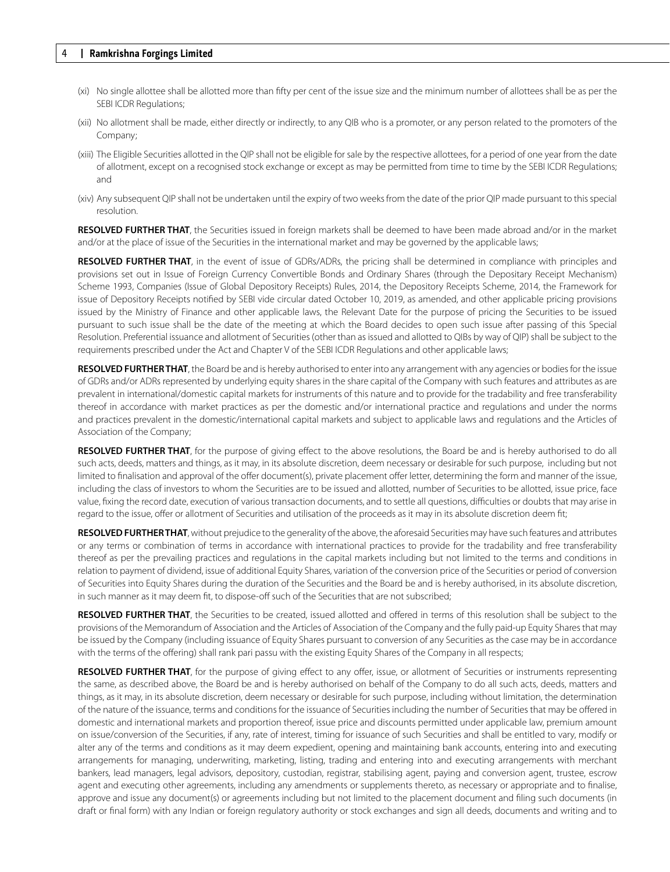- (xi) No single allottee shall be allotted more than fifty per cent of the issue size and the minimum number of allottees shall be as per the SEBI ICDR Regulations;
- (xii) No allotment shall be made, either directly or indirectly, to any QIB who is a promoter, or any person related to the promoters of the Company;
- (xiii) The Eligible Securities allotted in the QIP shall not be eligible for sale by the respective allottees, for a period of one year from the date of allotment, except on a recognised stock exchange or except as may be permitted from time to time by the SEBI ICDR Regulations; and
- (xiv) Any subsequent QIP shall not be undertaken until the expiry of two weeks from the date of the prior QIP made pursuant to this special resolution.

**RESOLVED FURTHER THAT**, the Securities issued in foreign markets shall be deemed to have been made abroad and/or in the market and/or at the place of issue of the Securities in the international market and may be governed by the applicable laws;

**RESOLVED FURTHER THAT**, in the event of issue of GDRs/ADRs, the pricing shall be determined in compliance with principles and provisions set out in Issue of Foreign Currency Convertible Bonds and Ordinary Shares (through the Depositary Receipt Mechanism) Scheme 1993, Companies (Issue of Global Depository Receipts) Rules, 2014, the Depository Receipts Scheme, 2014, the Framework for issue of Depository Receipts notified by SEBI vide circular dated October 10, 2019, as amended, and other applicable pricing provisions issued by the Ministry of Finance and other applicable laws, the Relevant Date for the purpose of pricing the Securities to be issued pursuant to such issue shall be the date of the meeting at which the Board decides to open such issue after passing of this Special Resolution. Preferential issuance and allotment of Securities (other than as issued and allotted to QIBs by way of QIP) shall be subject to the requirements prescribed under the Act and Chapter V of the SEBI ICDR Regulations and other applicable laws;

**RESOLVED FURTHER THAT**, the Board be and is hereby authorised to enter into any arrangement with any agencies or bodies for the issue of GDRs and/or ADRs represented by underlying equity shares in the share capital of the Company with such features and attributes as are prevalent in international/domestic capital markets for instruments of this nature and to provide for the tradability and free transferability thereof in accordance with market practices as per the domestic and/or international practice and regulations and under the norms and practices prevalent in the domestic/international capital markets and subject to applicable laws and regulations and the Articles of Association of the Company;

**RESOLVED FURTHER THAT**, for the purpose of giving effect to the above resolutions, the Board be and is hereby authorised to do all such acts, deeds, matters and things, as it may, in its absolute discretion, deem necessary or desirable for such purpose, including but not limited to finalisation and approval of the offer document(s), private placement offer letter, determining the form and manner of the issue, including the class of investors to whom the Securities are to be issued and allotted, number of Securities to be allotted, issue price, face value, fixing the record date, execution of various transaction documents, and to settle all questions, difficulties or doubts that may arise in regard to the issue, offer or allotment of Securities and utilisation of the proceeds as it may in its absolute discretion deem fit;

**RESOLVED FURTHER THAT**, without prejudice to the generality of the above, the aforesaid Securities may have such features and attributes or any terms or combination of terms in accordance with international practices to provide for the tradability and free transferability thereof as per the prevailing practices and regulations in the capital markets including but not limited to the terms and conditions in relation to payment of dividend, issue of additional Equity Shares, variation of the conversion price of the Securities or period of conversion of Securities into Equity Shares during the duration of the Securities and the Board be and is hereby authorised, in its absolute discretion, in such manner as it may deem fit, to dispose-off such of the Securities that are not subscribed;

**RESOLVED FURTHER THAT**, the Securities to be created, issued allotted and offered in terms of this resolution shall be subject to the provisions of the Memorandum of Association and the Articles of Association of the Company and the fully paid-up Equity Shares that may be issued by the Company (including issuance of Equity Shares pursuant to conversion of any Securities as the case may be in accordance with the terms of the offering) shall rank pari passu with the existing Equity Shares of the Company in all respects;

**RESOLVED FURTHER THAT**, for the purpose of giving effect to any offer, issue, or allotment of Securities or instruments representing the same, as described above, the Board be and is hereby authorised on behalf of the Company to do all such acts, deeds, matters and things, as it may, in its absolute discretion, deem necessary or desirable for such purpose, including without limitation, the determination of the nature of the issuance, terms and conditions for the issuance of Securities including the number of Securities that may be offered in domestic and international markets and proportion thereof, issue price and discounts permitted under applicable law, premium amount on issue/conversion of the Securities, if any, rate of interest, timing for issuance of such Securities and shall be entitled to vary, modify or alter any of the terms and conditions as it may deem expedient, opening and maintaining bank accounts, entering into and executing arrangements for managing, underwriting, marketing, listing, trading and entering into and executing arrangements with merchant bankers, lead managers, legal advisors, depository, custodian, registrar, stabilising agent, paying and conversion agent, trustee, escrow agent and executing other agreements, including any amendments or supplements thereto, as necessary or appropriate and to finalise, approve and issue any document(s) or agreements including but not limited to the placement document and filing such documents (in draft or final form) with any Indian or foreign regulatory authority or stock exchanges and sign all deeds, documents and writing and to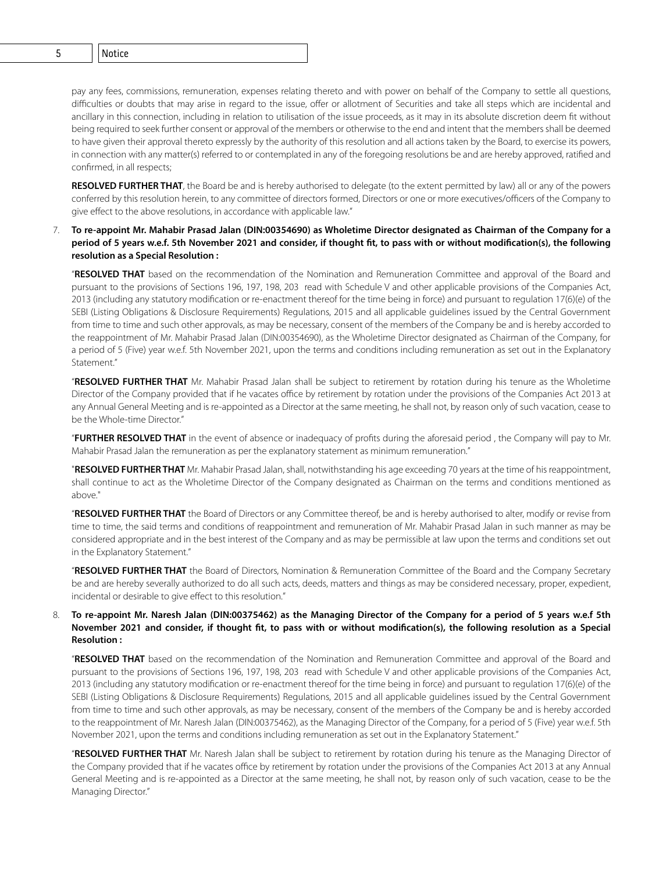4 **Ramkrishna Forgings Limited** 5 Notice

pay any fees, commissions, remuneration, expenses relating thereto and with power on behalf of the Company to settle all questions, difficulties or doubts that may arise in regard to the issue, offer or allotment of Securities and take all steps which are incidental and ancillary in this connection, including in relation to utilisation of the issue proceeds, as it may in its absolute discretion deem fit without being required to seek further consent or approval of the members or otherwise to the end and intent that the members shall be deemed to have given their approval thereto expressly by the authority of this resolution and all actions taken by the Board, to exercise its powers, in connection with any matter(s) referred to or contemplated in any of the foregoing resolutions be and are hereby approved, ratified and confirmed, in all respects;

**RESOLVED FURTHER THAT**, the Board be and is hereby authorised to delegate (to the extent permitted by law) all or any of the powers conferred by this resolution herein, to any committee of directors formed, Directors or one or more executives/officers of the Company to give effect to the above resolutions, in accordance with applicable law."

# 7. **To re-appoint Mr. Mahabir Prasad Jalan (DIN:00354690) as Wholetime Director designated as Chairman of the Company for a period of 5 years w.e.f. 5th November 2021 and consider, if thought ft, to pass with or without modifcation(s), the following resolution as a Special Resolution :**

"**RESOLVED THAT** based on the recommendation of the Nomination and Remuneration Committee and approval of the Board and pursuant to the provisions of Sections 196, 197, 198, 203 read with Schedule V and other applicable provisions of the Companies Act, 2013 (including any statutory modification or re-enactment thereof for the time being in force) and pursuant to regulation 17(6)(e) of the SEBI (Listing Obligations & Disclosure Requirements) Regulations, 2015 and all applicable guidelines issued by the Central Government from time to time and such other approvals, as may be necessary, consent of the members of the Company be and is hereby accorded to the reappointment of Mr. Mahabir Prasad Jalan (DIN:00354690), as the Wholetime Director designated as Chairman of the Company, for a period of 5 (Five) year w.e.f. 5th November 2021, upon the terms and conditions including remuneration as set out in the Explanatory Statement."

"**RESOLVED FURTHER THAT** Mr. Mahabir Prasad Jalan shall be subject to retirement by rotation during his tenure as the Wholetime Director of the Company provided that if he vacates office by retirement by rotation under the provisions of the Companies Act 2013 at any Annual General Meeting and is re-appointed as a Director at the same meeting, he shall not, by reason only of such vacation, cease to be the Whole-time Director."

"**FURTHER RESOLVED THAT** in the event of absence or inadequacy of profits during the aforesaid period , the Company will pay to Mr. Mahabir Prasad Jalan the remuneration as per the explanatory statement as minimum remuneration."

"**RESOLVED FURTHER THAT** Mr. Mahabir Prasad Jalan, shall, notwithstanding his age exceeding 70 years at the time of his reappointment, shall continue to act as the Wholetime Director of the Company designated as Chairman on the terms and conditions mentioned as above."

"**RESOLVED FURTHER THAT** the Board of Directors or any Committee thereof, be and is hereby authorised to alter, modify or revise from time to time, the said terms and conditions of reappointment and remuneration of Mr. Mahabir Prasad Jalan in such manner as may be considered appropriate and in the best interest of the Company and as may be permissible at law upon the terms and conditions set out in the Explanatory Statement."

"**RESOLVED FURTHER THAT** the Board of Directors, Nomination & Remuneration Committee of the Board and the Company Secretary be and are hereby severally authorized to do all such acts, deeds, matters and things as may be considered necessary, proper, expedient, incidental or desirable to give effect to this resolution."

# 8. **To re-appoint Mr. Naresh Jalan (DIN:00375462) as the Managing Director of the Company for a period of 5 years w.e.f 5th November 2021 and consider, if thought ft, to pass with or without modifcation(s), the following resolution as a Special Resolution :**

"**RESOLVED THAT** based on the recommendation of the Nomination and Remuneration Committee and approval of the Board and pursuant to the provisions of Sections 196, 197, 198, 203 read with Schedule V and other applicable provisions of the Companies Act, 2013 (including any statutory modification or re-enactment thereof for the time being in force) and pursuant to regulation 17(6)(e) of the SEBI (Listing Obligations & Disclosure Requirements) Regulations, 2015 and all applicable guidelines issued by the Central Government from time to time and such other approvals, as may be necessary, consent of the members of the Company be and is hereby accorded to the reappointment of Mr. Naresh Jalan (DIN:00375462), as the Managing Director of the Company, for a period of 5 (Five) year w.e.f. 5th November 2021, upon the terms and conditions including remuneration as set out in the Explanatory Statement."

"**RESOLVED FURTHER THAT** Mr. Naresh Jalan shall be subject to retirement by rotation during his tenure as the Managing Director of the Company provided that if he vacates office by retirement by rotation under the provisions of the Companies Act 2013 at any Annual General Meeting and is re-appointed as a Director at the same meeting, he shall not, by reason only of such vacation, cease to be the Managing Director."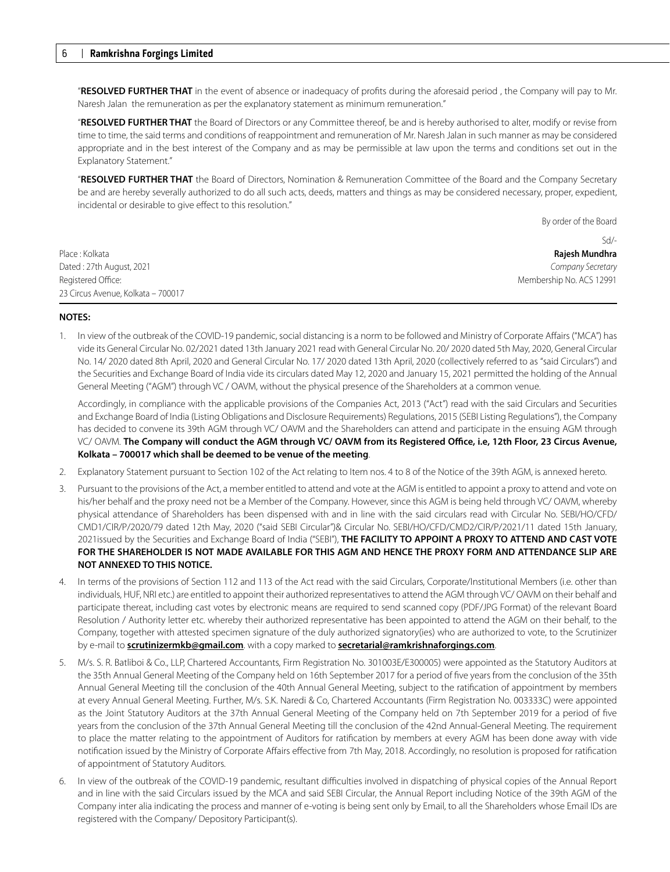"**RESOLVED FURTHER THAT** in the event of absence or inadequacy of profits during the aforesaid period , the Company will pay to Mr. Naresh Jalan the remuneration as per the explanatory statement as minimum remuneration."

"**RESOLVED FURTHER THAT** the Board of Directors or any Committee thereof, be and is hereby authorised to alter, modify or revise from time to time, the said terms and conditions of reappointment and remuneration of Mr. Naresh Jalan in such manner as may be considered appropriate and in the best interest of the Company and as may be permissible at law upon the terms and conditions set out in the Explanatory Statement."

"**RESOLVED FURTHER THAT** the Board of Directors, Nomination & Remuneration Committee of the Board and the Company Secretary be and are hereby severally authorized to do all such acts, deeds, matters and things as may be considered necessary, proper, expedient, incidental or desirable to give effect to this resolution."

By order of the Board

|                                    | $Sd$ /-                  |
|------------------------------------|--------------------------|
| Place : Kolkata                    | Rajesh Mundhra           |
| Dated : 27th August, 2021          | Company Secretary        |
| Registered Office:                 | Membership No. ACS 12991 |
| 23 Circus Avenue, Kolkata – 700017 |                          |

### **NOTES:**

1. In view of the outbreak of the COVID-19 pandemic, social distancing is a norm to be followed and Ministry of Corporate Affairs ("MCA") has vide its General Circular No. 02/2021 dated 13th January 2021 read with General Circular No. 20/ 2020 dated 5th May, 2020, General Circular No. 14/ 2020 dated 8th April, 2020 and General Circular No. 17/ 2020 dated 13th April, 2020 (collectively referred to as "said Circulars") and the Securities and Exchange Board of India vide its circulars dated May 12, 2020 and January 15, 2021 permitted the holding of the Annual General Meeting ("AGM") through VC / OAVM, without the physical presence of the Shareholders at a common venue.

Accordingly, in compliance with the applicable provisions of the Companies Act, 2013 ("Act") read with the said Circulars and Securities and Exchange Board of India (Listing Obligations and Disclosure Requirements) Regulations, 2015 (SEBI Listing Regulations"), the Company has decided to convene its 39th AGM through VC/ OAVM and the Shareholders can attend and participate in the ensuing AGM through VC/ OAVM. **The Company will conduct the AGM through VC/ OAVM from its Registered Ofce, i.e, 12th Floor, 23 Circus Avenue, Kolkata – 700017 which shall be deemed to be venue of the meeting**.

- 2. Explanatory Statement pursuant to Section 102 of the Act relating to Item nos. 4 to 8 of the Notice of the 39th AGM, is annexed hereto.
- 3. Pursuant to the provisions of the Act, a member entitled to attend and vote at the AGM is entitled to appoint a proxy to attend and vote on his/her behalf and the proxy need not be a Member of the Company. However, since this AGM is being held through VC/ OAVM, whereby physical attendance of Shareholders has been dispensed with and in line with the said circulars read with Circular No. SEBI/HO/CFD/ CMD1/CIR/P/2020/79 dated 12th May, 2020 ("said SEBI Circular")& Circular No. SEBI/HO/CFD/CMD2/CIR/P/2021/11 dated 15th January, 2021issued by the Securities and Exchange Board of India ("SEBI"), **THE FACILITY TO APPOINT A PROXY TO ATTEND AND CAST VOTE FOR THE SHAREHOLDER IS NOT MADE AVAILABLE FOR THIS AGM AND HENCE THE PROXY FORM AND ATTENDANCE SLIP ARE NOT ANNEXED TO THIS NOTICE.**
- 4. In terms of the provisions of Section 112 and 113 of the Act read with the said Circulars, Corporate/Institutional Members (i.e. other than individuals, HUF, NRI etc.) are entitled to appoint their authorized representatives to attend the AGM through VC/ OAVM on their behalf and participate thereat, including cast votes by electronic means are required to send scanned copy (PDF/JPG Format) of the relevant Board Resolution / Authority letter etc. whereby their authorized representative has been appointed to attend the AGM on their behalf, to the Company, together with attested specimen signature of the duly authorized signatory(ies) who are authorized to vote, to the Scrutinizer by e-mail to **scrutinizermkb@gmail.com**. with a copy marked to **secretarial@ramkrishnaforgings.com**.
- 5. M/s. S. R. Batliboi & Co., LLP, Chartered Accountants, Firm Registration No. 301003E/E300005) were appointed as the Statutory Auditors at the 35th Annual General Meeting of the Company held on 16th September 2017 for a period of five years from the conclusion of the 35th Annual General Meeting till the conclusion of the 40th Annual General Meeting, subject to the ratification of appointment by members at every Annual General Meeting. Further, M/s. S.K. Naredi & Co, Chartered Accountants (Firm Registration No. 003333C) were appointed as the Joint Statutory Auditors at the 37th Annual General Meeting of the Company held on 7th September 2019 for a period of five years from the conclusion of the 37th Annual General Meeting till the conclusion of the 42nd Annual-General Meeting. The requirement to place the matter relating to the appointment of Auditors for ratification by members at every AGM has been done away with vide notification issued by the Ministry of Corporate Affairs effective from 7th May, 2018. Accordingly, no resolution is proposed for ratification of appointment of Statutory Auditors.
- 6. In view of the outbreak of the COVID-19 pandemic, resultant difficulties involved in dispatching of physical copies of the Annual Report and in line with the said Circulars issued by the MCA and said SEBI Circular, the Annual Report including Notice of the 39th AGM of the Company inter alia indicating the process and manner of e-voting is being sent only by Email, to all the Shareholders whose Email IDs are registered with the Company/ Depository Participant(s).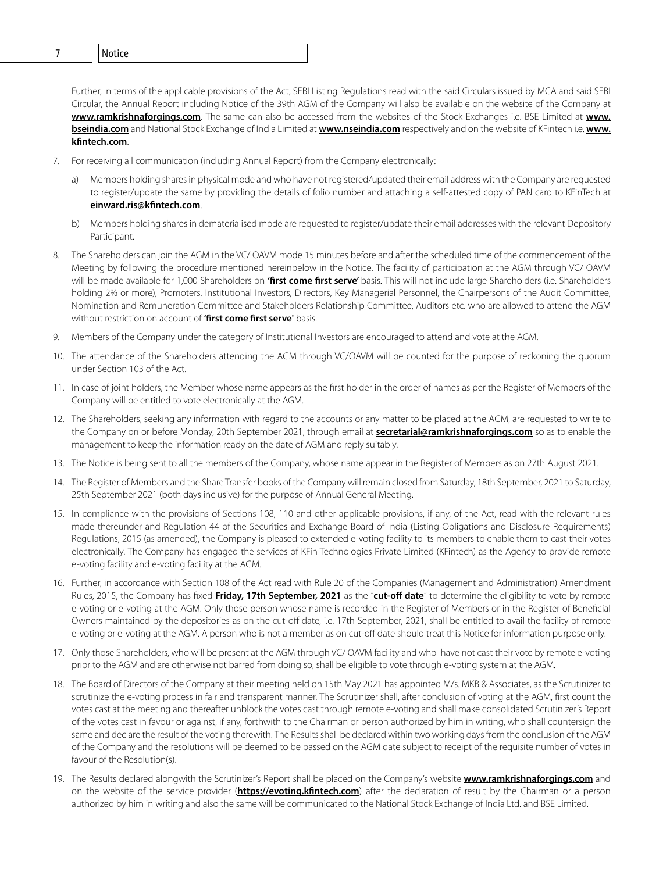6 **Ramkrishna Forgings Limited** 7 Notice

Further, in terms of the applicable provisions of the Act, SEBI Listing Regulations read with the said Circulars issued by MCA and said SEBI Circular, the Annual Report including Notice of the 39th AGM of the Company will also be available on the website of the Company at **www.ramkrishnaforgings.com**. The same can also be accessed from the websites of the Stock Exchanges i.e. BSE Limited at **www. bseindia.com** and National Stock Exchange of India Limited at **www.nseindia.com** respectively and on the website of KFintech i.e. **www. kfntech.com**.

- 7. For receiving all communication (including Annual Report) from the Company electronically:
	- a) Members holding shares in physical mode and who have not registered/updated their email address with the Company are requested to register/update the same by providing the details of folio number and attaching a self-attested copy of PAN card to KFinTech at **einward.ris@kfntech.com**.
	- b) Members holding shares in dematerialised mode are requested to register/update their email addresses with the relevant Depository Participant.
- 8. The Shareholders can join the AGM in the VC/ OAVM mode 15 minutes before and after the scheduled time of the commencement of the Meeting by following the procedure mentioned hereinbelow in the Notice. The facility of participation at the AGM through VC/ OAVM will be made available for 1,000 Shareholders on **'frst come frst serve'** basis. This will not include large Shareholders (i.e. Shareholders holding 2% or more), Promoters, Institutional Investors, Directors, Key Managerial Personnel, the Chairpersons of the Audit Committee, Nomination and Remuneration Committee and Stakeholders Relationship Committee, Auditors etc. who are allowed to attend the AGM without restriction on account of **'frst come frst serve'** basis.
- 9. Members of the Company under the category of Institutional Investors are encouraged to attend and vote at the AGM.
- 10. The attendance of the Shareholders attending the AGM through VC/OAVM will be counted for the purpose of reckoning the quorum under Section 103 of the Act.
- 11. In case of joint holders, the Member whose name appears as the first holder in the order of names as per the Register of Members of the Company will be entitled to vote electronically at the AGM.
- 12. The Shareholders, seeking any information with regard to the accounts or any matter to be placed at the AGM, are requested to write to the Company on or before Monday, 20th September 2021, through email at **secretarial@ramkrishnaforgings.com** so as to enable the management to keep the information ready on the date of AGM and reply suitably.
- 13. The Notice is being sent to all the members of the Company, whose name appear in the Register of Members as on 27th August 2021.
- 14. The Register of Members and the Share Transfer books of the Company will remain closed from Saturday, 18th September, 2021 to Saturday, 25th September 2021 (both days inclusive) for the purpose of Annual General Meeting.
- 15. In compliance with the provisions of Sections 108, 110 and other applicable provisions, if any, of the Act, read with the relevant rules made thereunder and Regulation 44 of the Securities and Exchange Board of India (Listing Obligations and Disclosure Requirements) Regulations, 2015 (as amended), the Company is pleased to extended e-voting facility to its members to enable them to cast their votes electronically. The Company has engaged the services of KFin Technologies Private Limited (KFintech) as the Agency to provide remote e-voting facility and e-voting facility at the AGM.
- 16. Further, in accordance with Section 108 of the Act read with Rule 20 of the Companies (Management and Administration) Amendment Rules, 2015, the Company has fixed **Friday, 17th September, 2021** as the "**cut-of date**" to determine the eligibility to vote by remote e-voting or e-voting at the AGM. Only those person whose name is recorded in the Register of Members or in the Register of Beneficial Owners maintained by the depositories as on the cut-off date, i.e. 17th September, 2021, shall be entitled to avail the facility of remote e-voting or e-voting at the AGM. A person who is not a member as on cut-off date should treat this Notice for information purpose only.
- 17. Only those Shareholders, who will be present at the AGM through VC/ OAVM facility and who have not cast their vote by remote e-voting prior to the AGM and are otherwise not barred from doing so, shall be eligible to vote through e-voting system at the AGM.
- 18. The Board of Directors of the Company at their meeting held on 15th May 2021 has appointed M/s. MKB & Associates, as the Scrutinizer to scrutinize the e-voting process in fair and transparent manner. The Scrutinizer shall, after conclusion of voting at the AGM, first count the votes cast at the meeting and thereafter unblock the votes cast through remote e-voting and shall make consolidated Scrutinizer's Report of the votes cast in favour or against, if any, forthwith to the Chairman or person authorized by him in writing, who shall countersign the same and declare the result of the voting therewith. The Results shall be declared within two working days from the conclusion of the AGM of the Company and the resolutions will be deemed to be passed on the AGM date subject to receipt of the requisite number of votes in favour of the Resolution(s).
- 19. The Results declared alongwith the Scrutinizer's Report shall be placed on the Company's website **www.ramkrishnaforgings.com** and on the website of the service provider (**https://evoting.kfntech.com**) after the declaration of result by the Chairman or a person authorized by him in writing and also the same will be communicated to the National Stock Exchange of India Ltd. and BSE Limited.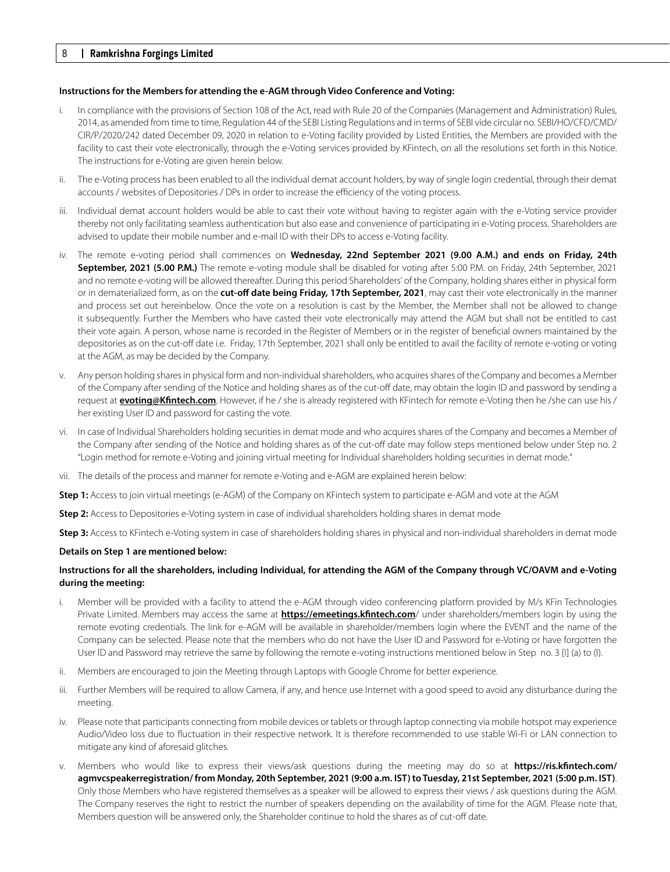#### **Instructions for the Members for attending the e-AGM through Video Conference and Voting:**

- i. In compliance with the provisions of Section 108 of the Act, read with Rule 20 of the Companies (Management and Administration) Rules, 2014, as amended from time to time, Regulation 44 of the SEBI Listing Regulations and in terms of SEBI vide circular no. SEBI/HO/CFD/CMD/ CIR/P/2020/242 dated December 09, 2020 in relation to e-Voting facility provided by Listed Entities, the Members are provided with the facility to cast their vote electronically, through the e-Voting services provided by KFintech, on all the resolutions set forth in this Notice. The instructions for e-Voting are given herein below.
- ii. The e-Voting process has been enabled to all the individual demat account holders, by way of single login credential, through their demat accounts / websites of Depositories / DPs in order to increase the efficiency of the voting process.
- iii. Individual demat account holders would be able to cast their vote without having to register again with the e-Voting service provider thereby not only facilitating seamless authentication but also ease and convenience of participating in e-Voting process. Shareholders are advised to update their mobile number and e-mail ID with their DPs to access e-Voting facility.
- iv. The remote e-voting period shall commences on **Wednesday, 22nd September 2021 (9.00 A.M.) and ends on Friday, 24th September, 2021 (5.00 P.M.)** The remote e-voting module shall be disabled for voting after 5:00 P.M. on Friday, 24th September, 2021 and no remote e-voting will be allowed thereafter. During this period Shareholders' of the Company, holding shares either in physical form or in dematerialized form, as on the **cut-of date being Friday, 17th September, 2021**, may cast their vote electronically in the manner and process set out hereinbelow. Once the vote on a resolution is cast by the Member, the Member shall not be allowed to change it subsequently. Further the Members who have casted their vote electronically may attend the AGM but shall not be entitled to cast their vote again. A person, whose name is recorded in the Register of Members or in the register of beneficial owners maintained by the depositories as on the cut-off date i.e. Friday, 17th September, 2021 shall only be entitled to avail the facility of remote e-voting or voting at the AGM, as may be decided by the Company.
- v. Any person holding shares in physical form and non-individual shareholders, who acquires shares of the Company and becomes a Member of the Company after sending of the Notice and holding shares as of the cut-off date, may obtain the login ID and password by sending a request at **evoting@Kfntech.com**. However, if he / she is already registered with KFintech for remote e-Voting then he /she can use his / her existing User ID and password for casting the vote.
- vi. In case of Individual Shareholders holding securities in demat mode and who acquires shares of the Company and becomes a Member of the Company after sending of the Notice and holding shares as of the cut-off date may follow steps mentioned below under Step no. 2 "Login method for remote e-Voting and joining virtual meeting for Individual shareholders holding securities in demat mode."
- vii. The details of the process and manner for remote e-Voting and e-AGM are explained herein below:

**Step 1:** Access to join virtual meetings (e-AGM) of the Company on KFintech system to participate e-AGM and vote at the AGM

**Step 2:** Access to Depositories e-Voting system in case of individual shareholders holding shares in demat mode

**Step 3:** Access to KFintech e-Voting system in case of shareholders holding shares in physical and non-individual shareholders in demat mode

#### **Details on Step 1 are mentioned below:**

## **Instructions for all the shareholders, including Individual, for attending the AGM of the Company through VC/OAVM and e-Voting during the meeting:**

- i. Member will be provided with a facility to attend the e-AGM through video conferencing platform provided by M/s KFin Technologies Private Limited. Members may access the same at **https://emeetings.kfntech.com**/ under shareholders/members login by using the remote evoting credentials. The link for e-AGM will be available in shareholder/members login where the EVENT and the name of the Company can be selected. Please note that the members who do not have the User ID and Password for e-Voting or have forgotten the User ID and Password may retrieve the same by following the remote e-voting instructions mentioned below in Step no. 3 [I] (a) to (l).
- ii. Members are encouraged to join the Meeting through Laptops with Google Chrome for better experience.
- iii. Further Members will be required to allow Camera, if any, and hence use Internet with a good speed to avoid any disturbance during the meeting.
- iv. Please note that participants connecting from mobile devices or tablets or through laptop connecting via mobile hotspot may experience Audio/Video loss due to fluctuation in their respective network. It is therefore recommended to use stable Wi-Fi or LAN connection to mitigate any kind of aforesaid glitches.
- v. Members who would like to express their views/ask questions during the meeting may do so at **https://ris.kfntech.com/ agmvcspeakerregistration/ from Monday, 20th September, 2021 (9:00 a.m. IST) to Tuesday, 21st September, 2021 (5:00 p.m. IST)**. Only those Members who have registered themselves as a speaker will be allowed to express their views / ask questions during the AGM. The Company reserves the right to restrict the number of speakers depending on the availability of time for the AGM. Please note that, Members question will be answered only, the Shareholder continue to hold the shares as of cut-off date.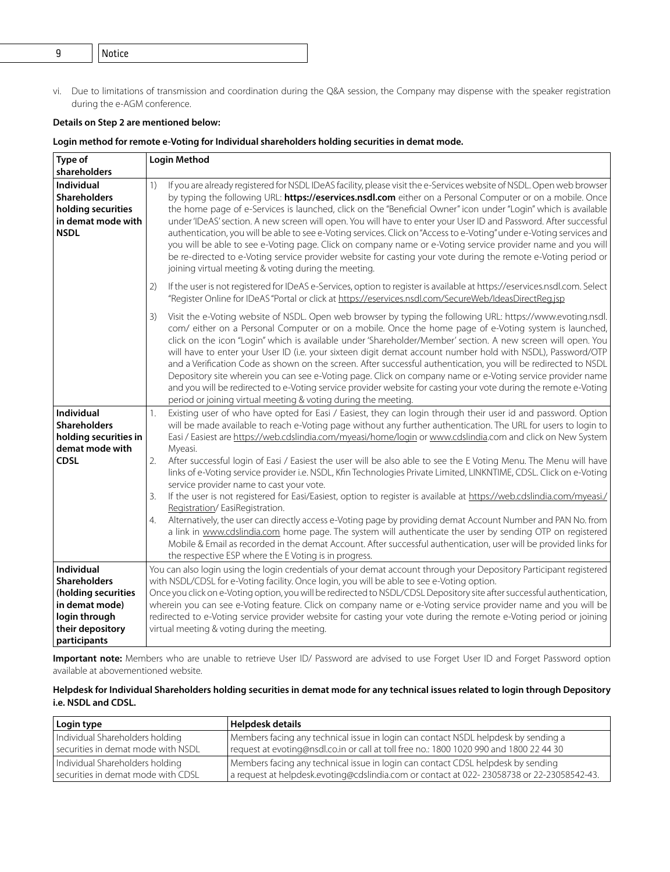vi. Due to limitations of transmission and coordination during the Q&A session, the Company may dispense with the speaker registration during the e-AGM conference.

# **Details on Step 2 are mentioned below:**

# **Login method for remote e-Voting for Individual shareholders holding securities in demat mode.**

| Type of                                                                                                      | <b>Login Method</b>                                                                                                                                                                                                                                                                                                                                                                                                                                                                                                                                                                                                                                                                                                                                                                                                                                                                                                                           |
|--------------------------------------------------------------------------------------------------------------|-----------------------------------------------------------------------------------------------------------------------------------------------------------------------------------------------------------------------------------------------------------------------------------------------------------------------------------------------------------------------------------------------------------------------------------------------------------------------------------------------------------------------------------------------------------------------------------------------------------------------------------------------------------------------------------------------------------------------------------------------------------------------------------------------------------------------------------------------------------------------------------------------------------------------------------------------|
| shareholders<br>Individual<br><b>Shareholders</b><br>holding securities<br>in demat mode with<br><b>NSDL</b> | If you are already registered for NSDL IDeAS facility, please visit the e-Services website of NSDL. Open web browser<br>$\left( \begin{array}{c} 1 \end{array} \right)$<br>by typing the following URL: https://eservices.nsdl.com either on a Personal Computer or on a mobile. Once<br>the home page of e-Services is launched, click on the "Beneficial Owner" icon under "Login" which is available<br>under 'IDeAS' section. A new screen will open. You will have to enter your User ID and Password. After successful<br>authentication, you will be able to see e-Voting services. Click on "Access to e-Voting" under e-Voting services and<br>you will be able to see e-Voting page. Click on company name or e-Voting service provider name and you will<br>be re-directed to e-Voting service provider website for casting your vote during the remote e-Voting period or<br>joining virtual meeting & voting during the meeting. |
|                                                                                                              | If the user is not registered for IDeAS e-Services, option to register is available at https://eservices.nsdl.com. Select<br>2)<br>"Register Online for IDeAS "Portal or click at https://eservices.nsdl.com/SecureWeb/IdeasDirectReg.jsp                                                                                                                                                                                                                                                                                                                                                                                                                                                                                                                                                                                                                                                                                                     |
|                                                                                                              | Visit the e-Voting website of NSDL. Open web browser by typing the following URL: https://www.evoting.nsdl.<br>3)<br>com/ either on a Personal Computer or on a mobile. Once the home page of e-Voting system is launched,<br>click on the icon "Login" which is available under 'Shareholder/Member' section. A new screen will open. You<br>will have to enter your User ID (i.e. your sixteen digit demat account number hold with NSDL), Password/OTP<br>and a Verification Code as shown on the screen. After successful authentication, you will be redirected to NSDL<br>Depository site wherein you can see e-Voting page. Click on company name or e-Voting service provider name<br>and you will be redirected to e-Voting service provider website for casting your vote during the remote e-Voting<br>period or joining virtual meeting & voting during the meeting.                                                              |
| Individual<br><b>Shareholders</b><br>holding securities in<br>demat mode with                                | Existing user of who have opted for Easi / Easiest, they can login through their user id and password. Option<br>1.<br>will be made available to reach e-Voting page without any further authentication. The URL for users to login to<br>Easi / Easiest are https://web.cdslindia.com/myeasi/home/login or www.cdslindia.com and click on New System<br>Myeasi.                                                                                                                                                                                                                                                                                                                                                                                                                                                                                                                                                                              |
| <b>CDSL</b>                                                                                                  | 2.<br>After successful login of Easi / Easiest the user will be also able to see the E Voting Menu. The Menu will have<br>links of e-Voting service provider i.e. NSDL, Kfin Technologies Private Limited, LINKNTIME, CDSL. Click on e-Voting<br>service provider name to cast your vote.                                                                                                                                                                                                                                                                                                                                                                                                                                                                                                                                                                                                                                                     |
|                                                                                                              | If the user is not registered for Easi/Easiest, option to register is available at https://web.cdslindia.com/myeasi./<br>3.<br>Registration/EasiRegistration.                                                                                                                                                                                                                                                                                                                                                                                                                                                                                                                                                                                                                                                                                                                                                                                 |
|                                                                                                              | Alternatively, the user can directly access e-Voting page by providing demat Account Number and PAN No. from<br>4.<br>a link in www.cdslindia.com home page. The system will authenticate the user by sending OTP on registered<br>Mobile & Email as recorded in the demat Account. After successful authentication, user will be provided links for<br>the respective ESP where the E Voting is in progress.                                                                                                                                                                                                                                                                                                                                                                                                                                                                                                                                 |
| Individual<br>Shareholders<br>(holding securities<br>in demat mode)<br>login through<br>their depository     | You can also login using the login credentials of your demat account through your Depository Participant registered<br>with NSDL/CDSL for e-Voting facility. Once login, you will be able to see e-Voting option.<br>Once you click on e-Voting option, you will be redirected to NSDL/CDSL Depository site after successful authentication,<br>wherein you can see e-Voting feature. Click on company name or e-Voting service provider name and you will be<br>redirected to e-Voting service provider website for casting your vote during the remote e-Voting period or joining<br>virtual meeting & voting during the meeting.                                                                                                                                                                                                                                                                                                           |
| participants                                                                                                 |                                                                                                                                                                                                                                                                                                                                                                                                                                                                                                                                                                                                                                                                                                                                                                                                                                                                                                                                               |

**Important note:** Members who are unable to retrieve User ID/ Password are advised to use Forget User ID and Forget Password option available at abovementioned website.

# **Helpdesk for Individual Shareholders holding securities in demat mode for any technical issues related to login through Depository i.e. NSDL and CDSL.**

| Login type                           | <b>Helpdesk details</b>                                                                   |
|--------------------------------------|-------------------------------------------------------------------------------------------|
| Individual Shareholders holding      | Members facing any technical issue in login can contact NSDL helpdesk by sending a        |
| securities in demat mode with NSDL   | request at evoting@nsdl.co.in or call at toll free no.: 1800 1020 990 and 1800 22 44 30   |
| Individual Shareholders holding      | Members facing any technical issue in login can contact CDSL helpdesk by sending          |
| l securities in demat mode with CDSL | a request at helpdesk.evoting@cdslindia.com or contact at 022-23058738 or 22-23058542-43. |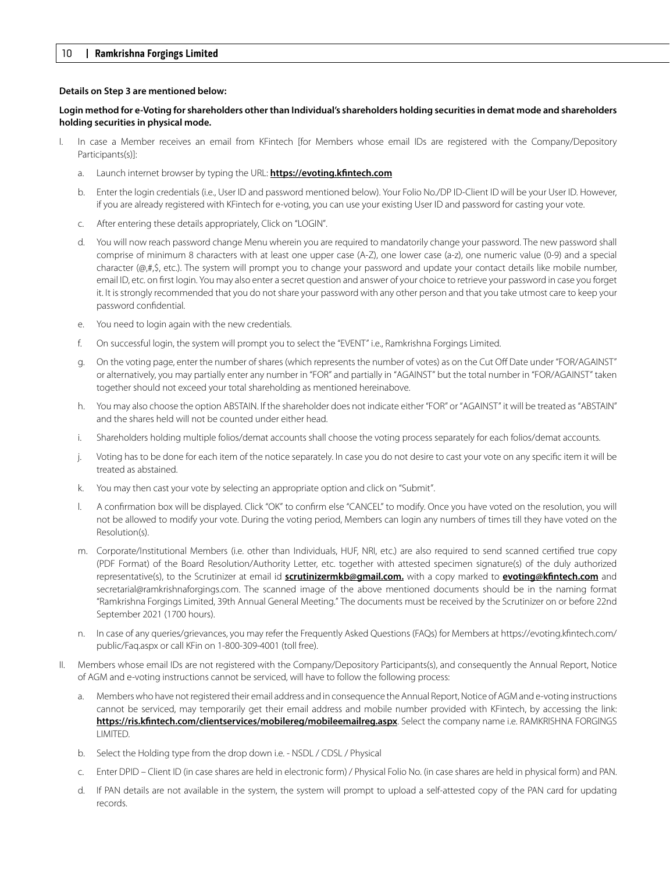### **Details on Step 3 are mentioned below:**

## **Login method for e-Voting for shareholders other than Individual's shareholders holding securities in demat mode and shareholders holding securities in physical mode.**

- I. In case a Member receives an email from KFintech [for Members whose email IDs are registered with the Company/Depository Participants(s)]:
	- a. Launch internet browser by typing the URL: **https://evoting.kfntech.com**
	- b. Enter the login credentials (i.e., User ID and password mentioned below). Your Folio No./DP ID-Client ID will be your User ID. However, if you are already registered with KFintech for e-voting, you can use your existing User ID and password for casting your vote.
	- c. After entering these details appropriately, Click on "LOGIN".
	- d. You will now reach password change Menu wherein you are required to mandatorily change your password. The new password shall comprise of minimum 8 characters with at least one upper case (A-Z), one lower case (a-z), one numeric value (0-9) and a special character (@,#,\$, etc.). The system will prompt you to change your password and update your contact details like mobile number, email ID, etc. on first login. You may also enter a secret question and answer of your choice to retrieve your password in case you forget it. It is strongly recommended that you do not share your password with any other person and that you take utmost care to keep your password confidential.
	- e. You need to login again with the new credentials.
	- f. On successful login, the system will prompt you to select the "EVENT" i.e., Ramkrishna Forgings Limited.
	- g. On the voting page, enter the number of shares (which represents the number of votes) as on the Cut Off Date under "FOR/AGAINST" or alternatively, you may partially enter any number in "FOR" and partially in "AGAINST" but the total number in "FOR/AGAINST" taken together should not exceed your total shareholding as mentioned hereinabove.
	- h. You may also choose the option ABSTAIN. If the shareholder does not indicate either "FOR" or "AGAINST" it will be treated as "ABSTAIN" and the shares held will not be counted under either head.
	- i. Shareholders holding multiple folios/demat accounts shall choose the voting process separately for each folios/demat accounts.
	- j. Voting has to be done for each item of the notice separately. In case you do not desire to cast your vote on any specific item it will be treated as abstained.
	- k. You may then cast your vote by selecting an appropriate option and click on "Submit".
	- l. A confirmation box will be displayed. Click "OK" to confirm else "CANCEL" to modify. Once you have voted on the resolution, you will not be allowed to modify your vote. During the voting period, Members can login any numbers of times till they have voted on the Resolution(s).
	- m. Corporate/Institutional Members (i.e. other than Individuals, HUF, NRI, etc.) are also required to send scanned certified true copy (PDF Format) of the Board Resolution/Authority Letter, etc. together with attested specimen signature(s) of the duly authorized representative(s), to the Scrutinizer at email id **scrutinizermkb@gmail.com.** with a copy marked to **evoting@kfntech.com** and secretarial@ramkrishnaforgings.com. The scanned image of the above mentioned documents should be in the naming format "Ramkrishna Forgings Limited, 39th Annual General Meeting." The documents must be received by the Scrutinizer on or before 22nd September 2021 (1700 hours).
	- n. In case of any queries/grievances, you may refer the Frequently Asked Questions (FAQs) for Members at https://evoting.kfintech.com/ public/Faq.aspx or call KFin on 1-800-309-4001 (toll free).
- II. Members whose email IDs are not registered with the Company/Depository Participants(s), and consequently the Annual Report, Notice of AGM and e-voting instructions cannot be serviced, will have to follow the following process:
	- a. Members who have not registered their email address and in consequence the Annual Report, Notice of AGM and e-voting instructions cannot be serviced, may temporarily get their email address and mobile number provided with KFintech, by accessing the link: **https://ris.kfntech.com/clientservices/mobilereg/mobileemailreg.aspx**. Select the company name i.e. RAMKRISHNA FORGINGS LIMITED.
	- b. Select the Holding type from the drop down i.e. NSDL / CDSL / Physical
	- c. Enter DPID Client ID (in case shares are held in electronic form) / Physical Folio No. (in case shares are held in physical form) and PAN.
	- d. If PAN details are not available in the system, the system will prompt to upload a self-attested copy of the PAN card for updating records.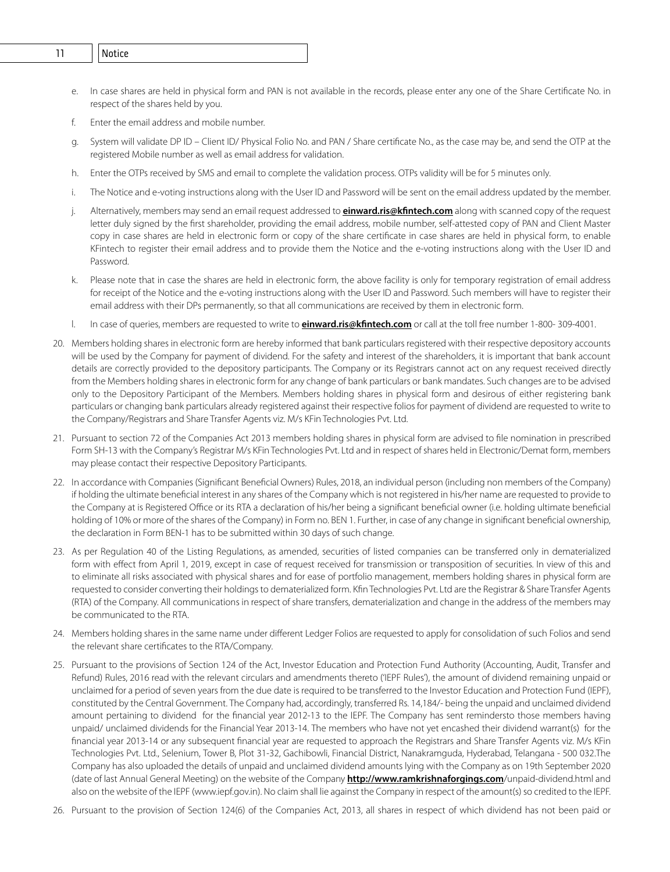- 10 **Ramkrishna Forgings Limited** 11 Notice
	- e. In case shares are held in physical form and PAN is not available in the records, please enter any one of the Share Certificate No. in respect of the shares held by you.
	- f. Enter the email address and mobile number.
	- System will validate DP ID Client ID/ Physical Folio No. and PAN / Share certificate No., as the case may be, and send the OTP at the registered Mobile number as well as email address for validation.
	- h. Enter the OTPs received by SMS and email to complete the validation process. OTPs validity will be for 5 minutes only.
	- i. The Notice and e-voting instructions along with the User ID and Password will be sent on the email address updated by the member.
	- j. Alternatively, members may send an email request addressed to **einward.ris@kfntech.com** along with scanned copy of the request letter duly signed by the first shareholder, providing the email address, mobile number, self-attested copy of PAN and Client Master copy in case shares are held in electronic form or copy of the share certificate in case shares are held in physical form, to enable KFintech to register their email address and to provide them the Notice and the e-voting instructions along with the User ID and Password.
	- k. Please note that in case the shares are held in electronic form, the above facility is only for temporary registration of email address for receipt of the Notice and the e-voting instructions along with the User ID and Password. Such members will have to register their email address with their DPs permanently, so that all communications are received by them in electronic form.
	- l. In case of queries, members are requested to write to **einward.ris@kfntech.com** or call at the toll free number 1-800- 309-4001.
	- 20. Members holding shares in electronic form are hereby informed that bank particulars registered with their respective depository accounts will be used by the Company for payment of dividend. For the safety and interest of the shareholders, it is important that bank account details are correctly provided to the depository participants. The Company or its Registrars cannot act on any request received directly from the Members holding shares in electronic form for any change of bank particulars or bank mandates. Such changes are to be advised only to the Depository Participant of the Members. Members holding shares in physical form and desirous of either registering bank particulars or changing bank particulars already registered against their respective folios for payment of dividend are requested to write to the Company/Registrars and Share Transfer Agents viz. M/s KFin Technologies Pvt. Ltd.
	- 21. Pursuant to section 72 of the Companies Act 2013 members holding shares in physical form are advised to file nomination in prescribed Form SH-13 with the Company's Registrar M/s KFin Technologies Pvt. Ltd and in respect of shares held in Electronic/Demat form, members may please contact their respective Depository Participants.
	- 22. In accordance with Companies (Significant Beneficial Owners) Rules, 2018, an individual person (including non members of the Company) if holding the ultimate beneficial interest in any shares of the Company which is not registered in his/her name are requested to provide to the Company at is Registered Office or its RTA a declaration of his/her being a significant beneficial owner (i.e. holding ultimate beneficial holding of 10% or more of the shares of the Company) in Form no. BEN 1. Further, in case of any change in significant beneficial ownership, the declaration in Form BEN-1 has to be submitted within 30 days of such change.
	- 23. As per Regulation 40 of the Listing Regulations, as amended, securities of listed companies can be transferred only in dematerialized form with effect from April 1, 2019, except in case of request received for transmission or transposition of securities. In view of this and to eliminate all risks associated with physical shares and for ease of portfolio management, members holding shares in physical form are requested to consider converting their holdings to dematerialized form. Kfin Technologies Pvt. Ltd are the Registrar & Share Transfer Agents (RTA) of the Company. All communications in respect of share transfers, dematerialization and change in the address of the members may be communicated to the RTA.
	- 24. Members holding shares in the same name under different Ledger Folios are requested to apply for consolidation of such Folios and send the relevant share certificates to the RTA/Company.
	- 25. Pursuant to the provisions of Section 124 of the Act, Investor Education and Protection Fund Authority (Accounting, Audit, Transfer and Refund) Rules, 2016 read with the relevant circulars and amendments thereto ('IEPF Rules'), the amount of dividend remaining unpaid or unclaimed for a period of seven years from the due date is required to be transferred to the Investor Education and Protection Fund (IEPF), constituted by the Central Government. The Company had, accordingly, transferred Rs. 14,184/- being the unpaid and unclaimed dividend amount pertaining to dividend for the financial year 2012-13 to the IEPF. The Company has sent remindersto those members having unpaid/ unclaimed dividends for the Financial Year 2013-14. The members who have not yet encashed their dividend warrant(s) for the financial year 2013-14 or any subsequent financial year are requested to approach the Registrars and Share Transfer Agents viz. M/s KFin Technologies Pvt. Ltd., Selenium, Tower B, Plot 31-32, Gachibowli, Financial District, Nanakramguda, Hyderabad, Telangana - 500 032.The Company has also uploaded the details of unpaid and unclaimed dividend amounts lying with the Company as on 19th September 2020 (date of last Annual General Meeting) on the website of the Company **http://www.ramkrishnaforgings.com**/unpaid-dividend.html and also on the website of the IEPF (www.iepf.gov.in). No claim shall lie against the Company in respect of the amount(s) so credited to the IEPF.
	- 26. Pursuant to the provision of Section 124(6) of the Companies Act, 2013, all shares in respect of which dividend has not been paid or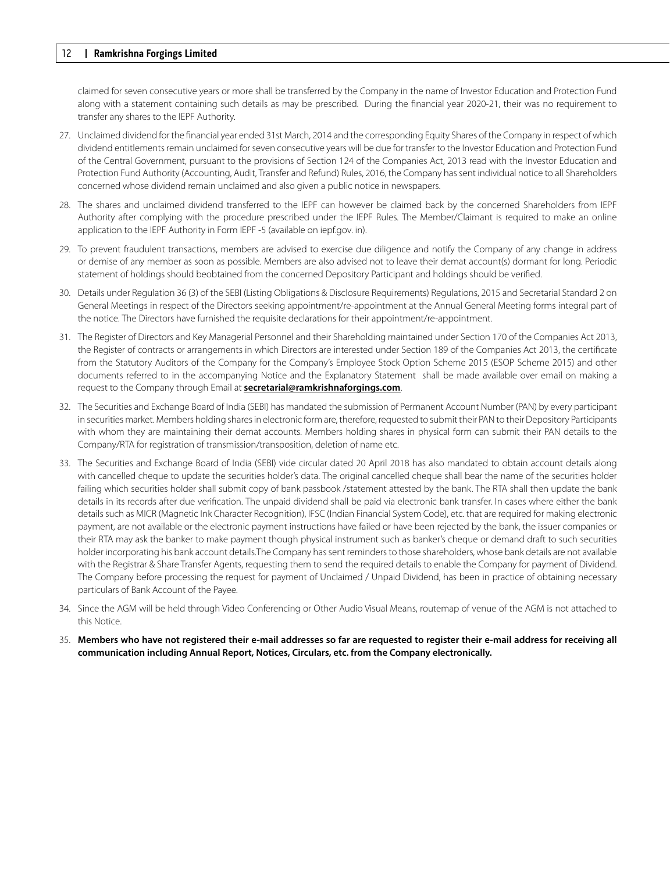claimed for seven consecutive years or more shall be transferred by the Company in the name of Investor Education and Protection Fund along with a statement containing such details as may be prescribed. During the financial year 2020-21, their was no requirement to transfer any shares to the IEPF Authority.

- 27. Unclaimed dividend for the financial year ended 31st March, 2014 and the corresponding Equity Shares of the Company in respect of which dividend entitlements remain unclaimed for seven consecutive years will be due for transfer to the Investor Education and Protection Fund of the Central Government, pursuant to the provisions of Section 124 of the Companies Act, 2013 read with the Investor Education and Protection Fund Authority (Accounting, Audit, Transfer and Refund) Rules, 2016, the Company has sent individual notice to all Shareholders concerned whose dividend remain unclaimed and also given a public notice in newspapers.
- 28. The shares and unclaimed dividend transferred to the IEPF can however be claimed back by the concerned Shareholders from IEPF Authority after complying with the procedure prescribed under the IEPF Rules. The Member/Claimant is required to make an online application to the IEPF Authority in Form IEPF -5 (available on iepf.gov. in).
- 29. To prevent fraudulent transactions, members are advised to exercise due diligence and notify the Company of any change in address or demise of any member as soon as possible. Members are also advised not to leave their demat account(s) dormant for long. Periodic statement of holdings should beobtained from the concerned Depository Participant and holdings should be verified.
- 30. Details under Regulation 36 (3) of the SEBI (Listing Obligations & Disclosure Requirements) Regulations, 2015 and Secretarial Standard 2 on General Meetings in respect of the Directors seeking appointment/re-appointment at the Annual General Meeting forms integral part of the notice. The Directors have furnished the requisite declarations for their appointment/re-appointment.
- 31. The Register of Directors and Key Managerial Personnel and their Shareholding maintained under Section 170 of the Companies Act 2013, the Register of contracts or arrangements in which Directors are interested under Section 189 of the Companies Act 2013, the certificate from the Statutory Auditors of the Company for the Company's Employee Stock Option Scheme 2015 (ESOP Scheme 2015) and other documents referred to in the accompanying Notice and the Explanatory Statement shall be made available over email on making a request to the Company through Email at **secretarial@ramkrishnaforgings.com**.
- 32. The Securities and Exchange Board of India (SEBI) has mandated the submission of Permanent Account Number (PAN) by every participant in securities market. Members holding shares in electronic form are, therefore, requested to submit their PAN to their Depository Participants with whom they are maintaining their demat accounts. Members holding shares in physical form can submit their PAN details to the Company/RTA for registration of transmission/transposition, deletion of name etc.
- 33. The Securities and Exchange Board of India (SEBI) vide circular dated 20 April 2018 has also mandated to obtain account details along with cancelled cheque to update the securities holder's data. The original cancelled cheque shall bear the name of the securities holder failing which securities holder shall submit copy of bank passbook /statement attested by the bank. The RTA shall then update the bank details in its records after due verification. The unpaid dividend shall be paid via electronic bank transfer. In cases where either the bank details such as MICR (Magnetic Ink Character Recognition), IFSC (Indian Financial System Code), etc. that are required for making electronic payment, are not available or the electronic payment instructions have failed or have been rejected by the bank, the issuer companies or their RTA may ask the banker to make payment though physical instrument such as banker's cheque or demand draft to such securities holder incorporating his bank account details.The Company has sent reminders to those shareholders, whose bank details are not available with the Registrar & Share Transfer Agents, requesting them to send the required details to enable the Company for payment of Dividend. The Company before processing the request for payment of Unclaimed / Unpaid Dividend, has been in practice of obtaining necessary particulars of Bank Account of the Payee.
- 34. Since the AGM will be held through Video Conferencing or Other Audio Visual Means, routemap of venue of the AGM is not attached to this Notice.
- 35. **Members who have not registered their e-mail addresses so far are requested to register their e-mail address for receiving all communication including Annual Report, Notices, Circulars, etc. from the Company electronically.**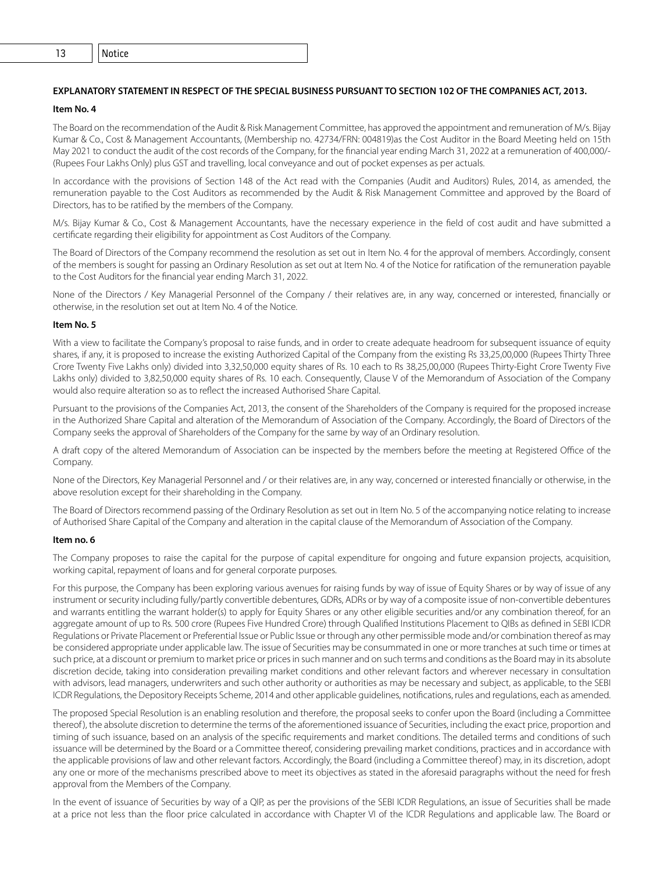## **EXPLANATORY STATEMENT IN RESPECT OF THE SPECIAL BUSINESS PURSUANT TO SECTION 102 OF THE COMPANIES ACT, 2013.**

## **Item No. 4**

The Board on the recommendation of the Audit & Risk Management Committee, has approved the appointment and remuneration of M/s. Bijay Kumar & Co., Cost & Management Accountants, (Membership no. 42734/FRN: 004819)as the Cost Auditor in the Board Meeting held on 15th May 2021 to conduct the audit of the cost records of the Company, for the financial year ending March 31, 2022 at a remuneration of 400,000/- (Rupees Four Lakhs Only) plus GST and travelling, local conveyance and out of pocket expenses as per actuals.

In accordance with the provisions of Section 148 of the Act read with the Companies (Audit and Auditors) Rules, 2014, as amended, the remuneration payable to the Cost Auditors as recommended by the Audit & Risk Management Committee and approved by the Board of Directors, has to be ratified by the members of the Company.

M/s. Bijay Kumar & Co., Cost & Management Accountants, have the necessary experience in the field of cost audit and have submitted a certificate regarding their eligibility for appointment as Cost Auditors of the Company.

The Board of Directors of the Company recommend the resolution as set out in Item No. 4 for the approval of members. Accordingly, consent of the members is sought for passing an Ordinary Resolution as set out at Item No. 4 of the Notice for ratification of the remuneration payable to the Cost Auditors for the financial year ending March 31, 2022.

None of the Directors / Key Managerial Personnel of the Company / their relatives are, in any way, concerned or interested, financially or otherwise, in the resolution set out at Item No. 4 of the Notice.

#### **Item No. 5**

With a view to facilitate the Company's proposal to raise funds, and in order to create adequate headroom for subsequent issuance of equity shares, if any, it is proposed to increase the existing Authorized Capital of the Company from the existing Rs 33,25,00,000 (Rupees Thirty Three Crore Twenty Five Lakhs only) divided into 3,32,50,000 equity shares of Rs. 10 each to Rs 38,25,00,000 (Rupees Thirty-Eight Crore Twenty Five Lakhs only) divided to 3,82,50,000 equity shares of Rs. 10 each. Consequently, Clause V of the Memorandum of Association of the Company would also require alteration so as to reflect the increased Authorised Share Capital.

Pursuant to the provisions of the Companies Act, 2013, the consent of the Shareholders of the Company is required for the proposed increase in the Authorized Share Capital and alteration of the Memorandum of Association of the Company. Accordingly, the Board of Directors of the Company seeks the approval of Shareholders of the Company for the same by way of an Ordinary resolution.

A draft copy of the altered Memorandum of Association can be inspected by the members before the meeting at Registered Office of the Company.

None of the Directors, Key Managerial Personnel and / or their relatives are, in any way, concerned or interested financially or otherwise, in the above resolution except for their shareholding in the Company.

The Board of Directors recommend passing of the Ordinary Resolution as set out in Item No. 5 of the accompanying notice relating to increase of Authorised Share Capital of the Company and alteration in the capital clause of the Memorandum of Association of the Company.

#### **Item no. 6**

The Company proposes to raise the capital for the purpose of capital expenditure for ongoing and future expansion projects, acquisition, working capital, repayment of loans and for general corporate purposes.

For this purpose, the Company has been exploring various avenues for raising funds by way of issue of Equity Shares or by way of issue of any instrument or security including fully/partly convertible debentures, GDRs, ADRs or by way of a composite issue of non-convertible debentures and warrants entitling the warrant holder(s) to apply for Equity Shares or any other eligible securities and/or any combination thereof, for an aggregate amount of up to Rs. 500 crore (Rupees Five Hundred Crore) through Qualified Institutions Placement to QIBs as defined in SEBI ICDR Regulations or Private Placement or Preferential Issue or Public Issue or through any other permissible mode and/or combination thereof as may be considered appropriate under applicable law. The issue of Securities may be consummated in one or more tranches at such time or times at such price, at a discount or premium to market price or prices in such manner and on such terms and conditions as the Board may in its absolute discretion decide, taking into consideration prevailing market conditions and other relevant factors and wherever necessary in consultation with advisors, lead managers, underwriters and such other authority or authorities as may be necessary and subject, as applicable, to the SEBI ICDR Regulations, the Depository Receipts Scheme, 2014 and other applicable guidelines, notifications, rules and regulations, each as amended.

The proposed Special Resolution is an enabling resolution and therefore, the proposal seeks to confer upon the Board (including a Committee thereof), the absolute discretion to determine the terms of the aforementioned issuance of Securities, including the exact price, proportion and timing of such issuance, based on an analysis of the specific requirements and market conditions. The detailed terms and conditions of such issuance will be determined by the Board or a Committee thereof, considering prevailing market conditions, practices and in accordance with the applicable provisions of law and other relevant factors. Accordingly, the Board (including a Committee thereof) may, in its discretion, adopt any one or more of the mechanisms prescribed above to meet its objectives as stated in the aforesaid paragraphs without the need for fresh approval from the Members of the Company.

In the event of issuance of Securities by way of a QIP, as per the provisions of the SEBI ICDR Regulations, an issue of Securities shall be made at a price not less than the floor price calculated in accordance with Chapter VI of the ICDR Regulations and applicable law. The Board or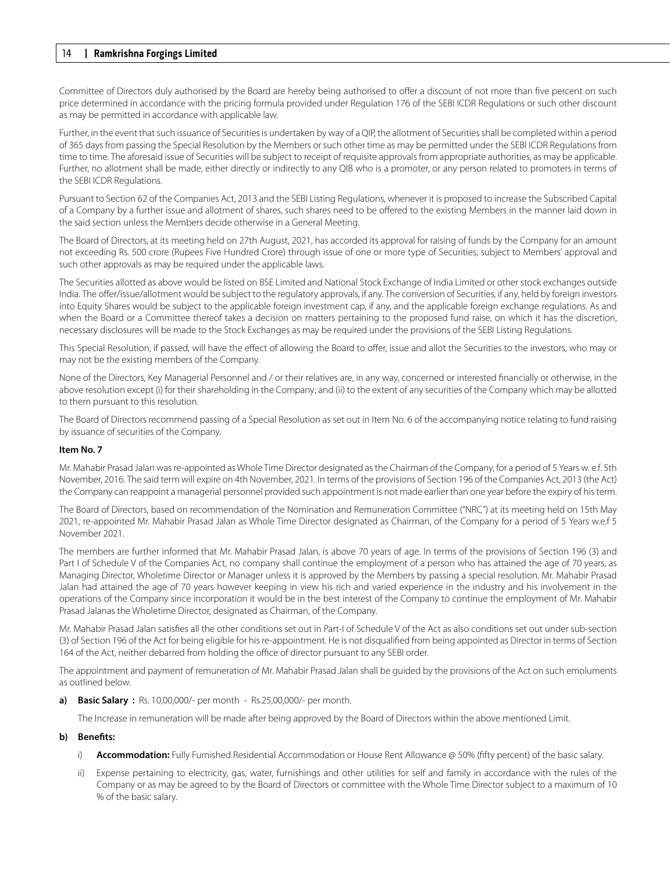Committee of Directors duly authorised by the Board are hereby being authorised to offer a discount of not more than five percent on such price determined in accordance with the pricing formula provided under Regulation 176 of the SEBI ICDR Regulations or such other discount as may be permitted in accordance with applicable law.

Further, in the event that such issuance of Securities is undertaken by way of a QIP, the allotment of Securities shall be completed within a period of 365 days from passing the Special Resolution by the Members or such other time as may be permitted under the SEBI ICDR Regulations from time to time. The aforesaid issue of Securities will be subject to receipt of requisite approvals from appropriate authorities, as may be applicable. Further, no allotment shall be made, either directly or indirectly to any QIB who is a promoter, or any person related to promoters in terms of the SEBI ICDR Regulations.

Pursuant to Section 62 of the Companies Act, 2013 and the SEBI Listing Regulations, whenever it is proposed to increase the Subscribed Capital of a Company by a further issue and allotment of shares, such shares need to be offered to the existing Members in the manner laid down in the said section unless the Members decide otherwise in a General Meeting.

The Board of Directors, at its meeting held on 27th August, 2021, has accorded its approval for raising of funds by the Company for an amount not exceeding Rs. 500 crore (Rupees Five Hundred Crore) through issue of one or more type of Securities, subject to Members' approval and such other approvals as may be required under the applicable laws.

The Securities allotted as above would be listed on BSE Limited and National Stock Exchange of India Limited or other stock exchanges outside India. The offer/issue/allotment would be subject to the regulatory approvals, if any. The conversion of Securities, if any, held by foreign investors into Equity Shares would be subject to the applicable foreign investment cap, if any, and the applicable foreign exchange regulations. As and when the Board or a Committee thereof takes a decision on matters pertaining to the proposed fund raise, on which it has the discretion, necessary disclosures will be made to the Stock Exchanges as may be required under the provisions of the SEBI Listing Regulations.

This Special Resolution, if passed, will have the effect of allowing the Board to offer, issue and allot the Securities to the investors, who may or may not be the existing members of the Company.

None of the Directors, Key Managerial Personnel and / or their relatives are, in any way, concerned or interested financially or otherwise, in the above resolution except (i) for their shareholding in the Company; and (ii) to the extent of any securities of the Company which may be allotted to them pursuant to this resolution.

The Board of Directors recommend passing of a Special Resolution as set out in Item No. 6 of the accompanying notice relating to fund raising by issuance of securities of the Company.

### **Item No. 7**

Mr. Mahabir Prasad Jalan was re-appointed as Whole Time Director designated as the Chairman of the Company, for a period of 5 Years w. e.f. 5th November, 2016. The said term will expire on 4th November, 2021. In terms of the provisions of Section 196 of the Companies Act, 2013 (the Act) the Company can reappoint a managerial personnel provided such appointment is not made earlier than one year before the expiry of his term.

The Board of Directors, based on recommendation of the Nomination and Remuneration Committee ("NRC") at its meeting held on 15th May 2021, re-appointed Mr. Mahabir Prasad Jalan as Whole Time Director designated as Chairman, of the Company for a period of 5 Years w.e.f 5 November 2021.

The members are further informed that Mr. Mahabir Prasad Jalan, is above 70 years of age. In terms of the provisions of Section 196 (3) and Part I of Schedule V of the Companies Act, no company shall continue the employment of a person who has attained the age of 70 years, as Managing Director, Wholetime Director or Manager unless it is approved by the Members by passing a special resolution. Mr. Mahabir Prasad Jalan had attained the age of 70 years however keeping in view his rich and varied experience in the industry and his involvement in the operations of the Company since incorporation it would be in the best interest of the Company to continue the employment of Mr. Mahabir Prasad Jalanas the Wholetime Director, designated as Chairman, of the Company.

Mr. Mahabir Prasad Jalan satisfies all the other conditions set out in Part-I of Schedule V of the Act as also conditions set out under sub-section (3) of Section 196 of the Act for being eligible for his re-appointment. He is not disqualified from being appointed as Director in terms of Section 164 of the Act, neither debarred from holding the office of director pursuant to any SEBI order.

The appointment and payment of remuneration of Mr. Mahabir Prasad Jalan shall be guided by the provisions of the Act on such emoluments as outlined below.

**a) Basic Salary :** Rs. 10,00,000/- per month - Rs.25,00,000/- per month.

The Increase in remuneration will be made after being approved by the Board of Directors within the above mentioned Limit.

## **b) Benefts:**

- i) **Accommodation:** Fully Furnished Residential Accommodation or House Rent Allowance @ 50% (fifty percent) of the basic salary.
- ii) Expense pertaining to electricity, gas, water, furnishings and other utilities for self and family in accordance with the rules of the Company or as may be agreed to by the Board of Directors or committee with the Whole Time Director subject to a maximum of 10 % of the basic salary.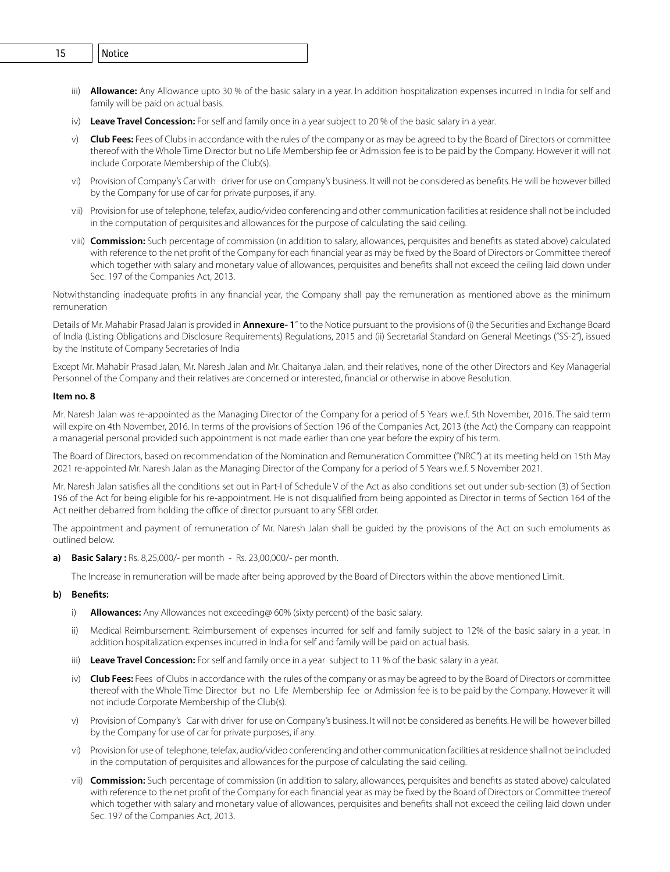- 14 **Ramkrishna Forgings Limited** 15 Notice
	- iii) **Allowance:** Any Allowance upto 30 % of the basic salary in a year. In addition hospitalization expenses incurred in India for self and family will be paid on actual basis.
	- iv) **Leave Travel Concession:** For self and family once in a year subject to 20 % of the basic salary in a year.
	- v) **Club Fees:** Fees of Clubs in accordance with the rules of the company or as may be agreed to by the Board of Directors or committee thereof with the Whole Time Director but no Life Membership fee or Admission fee is to be paid by the Company. However it will not include Corporate Membership of the Club(s).
	- vi) Provision of Company's Car with driver for use on Company's business. It will not be considered as benefits. He will be however billed by the Company for use of car for private purposes, if any.
	- vii) Provision for use of telephone, telefax, audio/video conferencing and other communication facilities at residence shall not be included in the computation of perquisites and allowances for the purpose of calculating the said ceiling.
	- viii) **Commission:** Such percentage of commission (in addition to salary, allowances, perquisites and benefits as stated above) calculated with reference to the net profit of the Company for each financial year as may be fixed by the Board of Directors or Committee thereof which together with salary and monetary value of allowances, perquisites and benefits shall not exceed the ceiling laid down under Sec. 197 of the Companies Act, 2013.

Notwithstanding inadequate profits in any financial year, the Company shall pay the remuneration as mentioned above as the minimum remuneration

Details of Mr. Mahabir Prasad Jalan is provided in **Annexure- 1**" to the Notice pursuant to the provisions of (i) the Securities and Exchange Board of India (Listing Obligations and Disclosure Requirements) Regulations, 2015 and (ii) Secretarial Standard on General Meetings ("SS-2"), issued by the Institute of Company Secretaries of India

Except Mr. Mahabir Prasad Jalan, Mr. Naresh Jalan and Mr. Chaitanya Jalan, and their relatives, none of the other Directors and Key Managerial Personnel of the Company and their relatives are concerned or interested, financial or otherwise in above Resolution.

#### **Item no. 8**

Mr. Naresh Jalan was re-appointed as the Managing Director of the Company for a period of 5 Years w.e.f. 5th November, 2016. The said term will expire on 4th November, 2016. In terms of the provisions of Section 196 of the Companies Act, 2013 (the Act) the Company can reappoint a managerial personal provided such appointment is not made earlier than one year before the expiry of his term.

The Board of Directors, based on recommendation of the Nomination and Remuneration Committee ("NRC") at its meeting held on 15th May 2021 re-appointed Mr. Naresh Jalan as the Managing Director of the Company for a period of 5 Years w.e.f. 5 November 2021.

Mr. Naresh Jalan satisfies all the conditions set out in Part-I of Schedule V of the Act as also conditions set out under sub-section (3) of Section 196 of the Act for being eligible for his re-appointment. He is not disqualified from being appointed as Director in terms of Section 164 of the Act neither debarred from holding the office of director pursuant to any SEBI order.

The appointment and payment of remuneration of Mr. Naresh Jalan shall be guided by the provisions of the Act on such emoluments as outlined below.

**a) Basic Salary :** Rs. 8,25,000/- per month - Rs. 23,00,000/- per month.

The Increase in remuneration will be made after being approved by the Board of Directors within the above mentioned Limit.

### **b) Benefts:**

- i) **Allowances:** Any Allowances not exceeding@ 60% (sixty percent) of the basic salary.
- ii) Medical Reimbursement: Reimbursement of expenses incurred for self and family subject to 12% of the basic salary in a year. In addition hospitalization expenses incurred in India for self and family will be paid on actual basis.
- iii) **Leave Travel Concession:** For self and family once in a year subject to 11 % of the basic salary in a year.
- iv) **Club Fees:** Fees of Clubs in accordance with the rules of the company or as may be agreed to by the Board of Directors or committee thereof with the Whole Time Director but no Life Membership fee or Admission fee is to be paid by the Company. However it will not include Corporate Membership of the Club(s).
- v) Provision of Company's Car with driver for use on Company's business. It will not be considered as benefits. He will be however billed by the Company for use of car for private purposes, if any.
- vi) Provision for use of telephone, telefax, audio/video conferencing and other communication facilities at residence shall not be included in the computation of perquisites and allowances for the purpose of calculating the said ceiling.
- vii) **Commission:** Such percentage of commission (in addition to salary, allowances, perquisites and benefits as stated above) calculated with reference to the net profit of the Company for each financial year as may be fixed by the Board of Directors or Committee thereof which together with salary and monetary value of allowances, perquisites and benefits shall not exceed the ceiling laid down under Sec. 197 of the Companies Act, 2013.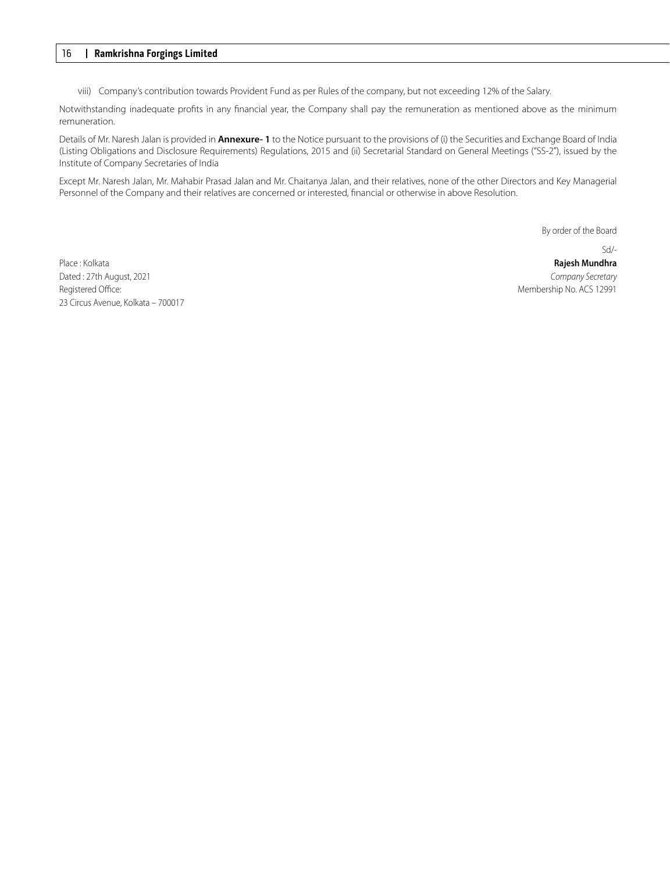viii) Company's contribution towards Provident Fund as per Rules of the company, but not exceeding 12% of the Salary.

Notwithstanding inadequate profits in any financial year, the Company shall pay the remuneration as mentioned above as the minimum remuneration.

Details of Mr. Naresh Jalan is provided in **Annexure- 1** to the Notice pursuant to the provisions of (i) the Securities and Exchange Board of India (Listing Obligations and Disclosure Requirements) Regulations, 2015 and (ii) Secretarial Standard on General Meetings ("SS-2"), issued by the Institute of Company Secretaries of India

Except Mr. Naresh Jalan, Mr. Mahabir Prasad Jalan and Mr. Chaitanya Jalan, and their relatives, none of the other Directors and Key Managerial Personnel of the Company and their relatives are concerned or interested, financial or otherwise in above Resolution.

By order of the Board

Place : Kolkata **Rajesh Mundhra** Dated : 27th August, 2021 **Company Secretary** Company Secretary Registered Office: Membership No. ACS 12991 23 Circus Avenue, Kolkata – 700017

Sd/-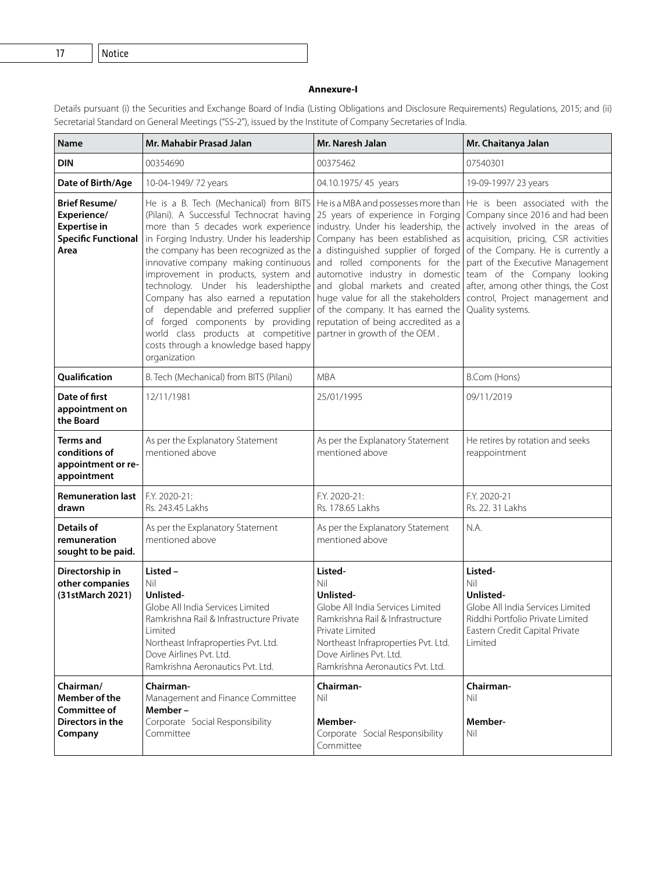16 **Ramkrishna Forgings Limited** 17 Notice

# **Annexure-I**

Details pursuant (i) the Securities and Exchange Board of India (Listing Obligations and Disclosure Requirements) Regulations, 2015; and (ii) Secretarial Standard on General Meetings ("SS-2"), issued by the Institute of Company Secretaries of India.

| Name                                                                                             | Mr. Mahabir Prasad Jalan                                                                                                                                                                                                                                                                                                                                                                                                                                                                                                                                                                               | Mr. Naresh Jalan                                                                                                                                                                                                                                                                                                                                                           | Mr. Chaitanya Jalan                                                                                                                                                                                                                                                                                                                                                                  |
|--------------------------------------------------------------------------------------------------|--------------------------------------------------------------------------------------------------------------------------------------------------------------------------------------------------------------------------------------------------------------------------------------------------------------------------------------------------------------------------------------------------------------------------------------------------------------------------------------------------------------------------------------------------------------------------------------------------------|----------------------------------------------------------------------------------------------------------------------------------------------------------------------------------------------------------------------------------------------------------------------------------------------------------------------------------------------------------------------------|--------------------------------------------------------------------------------------------------------------------------------------------------------------------------------------------------------------------------------------------------------------------------------------------------------------------------------------------------------------------------------------|
| <b>DIN</b>                                                                                       | 00354690                                                                                                                                                                                                                                                                                                                                                                                                                                                                                                                                                                                               | 00375462                                                                                                                                                                                                                                                                                                                                                                   | 07540301                                                                                                                                                                                                                                                                                                                                                                             |
| Date of Birth/Age                                                                                | 10-04-1949/72 years                                                                                                                                                                                                                                                                                                                                                                                                                                                                                                                                                                                    | 04.10.1975/45 years                                                                                                                                                                                                                                                                                                                                                        | 19-09-1997/23 years                                                                                                                                                                                                                                                                                                                                                                  |
| <b>Brief Resume/</b><br>Experience/<br><b>Expertise in</b><br><b>Specific Functional</b><br>Area | He is a B. Tech (Mechanical) from BITS<br>(Pilani). A Successful Technocrat having<br>more than 5 decades work experience<br>in Forging Industry. Under his leadership<br>the company has been recognized as the<br>innovative company making continuous<br>improvement in products, system and<br>technology. Under his leadershipthe<br>Company has also earned a reputation   huge value for all the stakeholders  <br>dependable and preferred supplier<br>of<br>of forged components by providing<br>world class products at competitive<br>costs through a knowledge based happy<br>organization | He is a MBA and possesses more than  <br>25 years of experience in Forging<br>industry. Under his leadership, the<br>a distinguished supplier of forged<br>and rolled components for the<br>automotive industry in domestic<br>and global markets and created<br>of the company. It has earned the<br>reputation of being accredited as a<br>partner in growth of the OEM. | He is been associated with the<br>Company since 2016 and had been<br>actively involved in the areas of<br>Company has been established as acquisition, pricing, CSR activities<br>of the Company. He is currently a<br>part of the Executive Management<br>team of the Company looking<br>after, among other things, the Cost<br>control, Project management and<br>Quality systems. |
| Qualification                                                                                    | B. Tech (Mechanical) from BITS (Pilani)                                                                                                                                                                                                                                                                                                                                                                                                                                                                                                                                                                | <b>MBA</b>                                                                                                                                                                                                                                                                                                                                                                 | B.Com (Hons)                                                                                                                                                                                                                                                                                                                                                                         |
| Date of first<br>appointment on<br>the Board                                                     | 12/11/1981                                                                                                                                                                                                                                                                                                                                                                                                                                                                                                                                                                                             | 25/01/1995                                                                                                                                                                                                                                                                                                                                                                 | 09/11/2019                                                                                                                                                                                                                                                                                                                                                                           |
| Terms and<br>conditions of<br>appointment or re-<br>appointment                                  | As per the Explanatory Statement<br>mentioned above                                                                                                                                                                                                                                                                                                                                                                                                                                                                                                                                                    | As per the Explanatory Statement<br>mentioned above                                                                                                                                                                                                                                                                                                                        | He retires by rotation and seeks<br>reappointment                                                                                                                                                                                                                                                                                                                                    |
| <b>Remuneration last</b><br>drawn                                                                | F.Y. 2020-21:<br>Rs. 243.45 Lakhs                                                                                                                                                                                                                                                                                                                                                                                                                                                                                                                                                                      | F.Y. 2020-21:<br>Rs. 178.65 Lakhs                                                                                                                                                                                                                                                                                                                                          | F.Y. 2020-21<br>Rs. 22. 31 Lakhs                                                                                                                                                                                                                                                                                                                                                     |
| <b>Details of</b><br>remuneration<br>sought to be paid.                                          | As per the Explanatory Statement<br>mentioned above                                                                                                                                                                                                                                                                                                                                                                                                                                                                                                                                                    | As per the Explanatory Statement<br>mentioned above                                                                                                                                                                                                                                                                                                                        | N.A.                                                                                                                                                                                                                                                                                                                                                                                 |
| Directorship in<br>other companies<br>(31stMarch 2021)                                           | Listed -<br>Nil<br>Unlisted-<br>Globe All India Services Limited<br>Ramkrishna Rail & Infrastructure Private<br>Limited<br>Northeast Infraproperties Pvt. Ltd.<br>Dove Airlines Pvt. Ltd.<br>Ramkrishna Aeronautics Pyt. Ltd.                                                                                                                                                                                                                                                                                                                                                                          | Listed-<br>Nil<br>Unlisted-<br>Globe All India Services Limited<br>Ramkrishna Rail & Infrastructure<br>Private Limited<br>Northeast Infraproperties Pvt. Ltd.<br>Dove Airlines Pvt. Ltd.<br>Ramkrishna Aeronautics Pyt. Ltd.                                                                                                                                               | Listed-<br>Nil<br>Unlisted-<br>Globe All India Services Limited<br>Riddhi Portfolio Private Limited<br>Eastern Credit Capital Private<br>Limited                                                                                                                                                                                                                                     |
| Chairman/<br>Member of the<br>Committee of<br>Directors in the<br>Company                        | Chairman-<br>Management and Finance Committee<br>Member-<br>Corporate Social Responsibility<br>Committee                                                                                                                                                                                                                                                                                                                                                                                                                                                                                               | Chairman-<br>Nil<br>Member-<br>Corporate Social Responsibility<br>Committee                                                                                                                                                                                                                                                                                                | Chairman-<br>Nil<br>Member-<br>Nil                                                                                                                                                                                                                                                                                                                                                   |